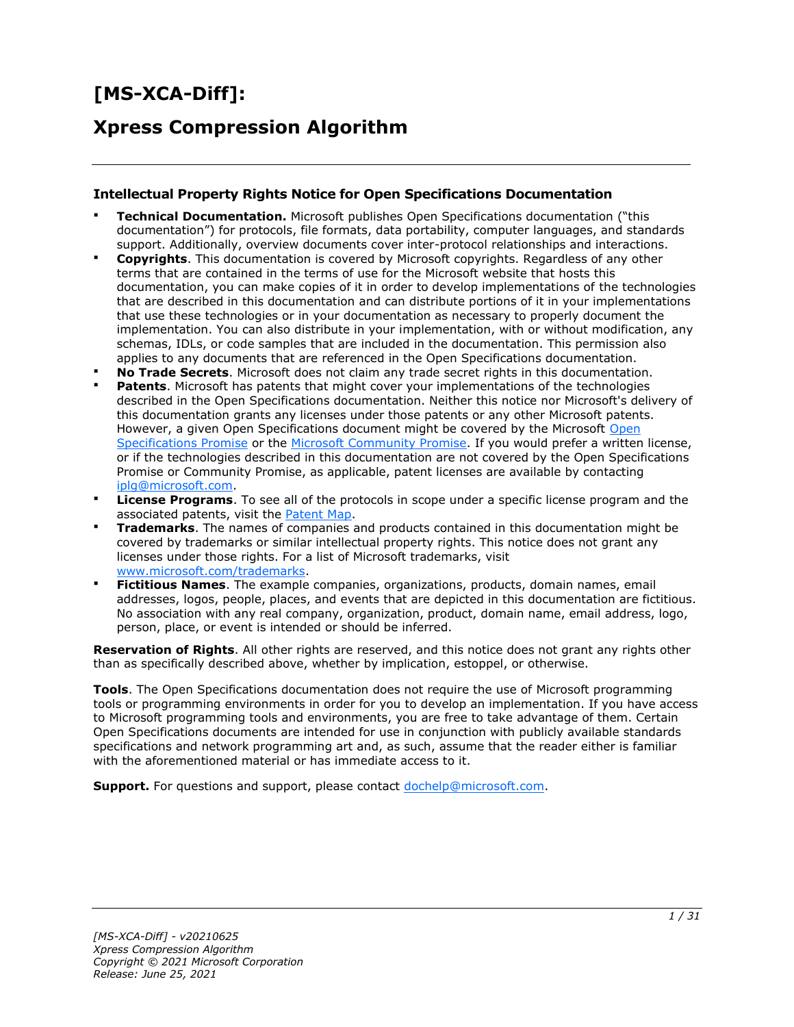# **[MS-XCA-Diff]:**

## **Xpress Compression Algorithm**

#### **Intellectual Property Rights Notice for Open Specifications Documentation**

- **Technical Documentation.** Microsoft publishes Open Specifications documentation ("this documentation") for protocols, file formats, data portability, computer languages, and standards support. Additionally, overview documents cover inter-protocol relationships and interactions.
- **Copyrights**. This documentation is covered by Microsoft copyrights. Regardless of any other terms that are contained in the terms of use for the Microsoft website that hosts this documentation, you can make copies of it in order to develop implementations of the technologies that are described in this documentation and can distribute portions of it in your implementations that use these technologies or in your documentation as necessary to properly document the implementation. You can also distribute in your implementation, with or without modification, any schemas, IDLs, or code samples that are included in the documentation. This permission also applies to any documents that are referenced in the Open Specifications documentation.
- **No Trade Secrets**. Microsoft does not claim any trade secret rights in this documentation.
- **Patents**. Microsoft has patents that might cover your implementations of the technologies described in the Open Specifications documentation. Neither this notice nor Microsoft's delivery of this documentation grants any licenses under those patents or any other Microsoft patents. However, a given [Open](https://go.microsoft.com/fwlink/?LinkId=214445) Specifications document might be covered by the Microsoft Open [Specifications Promise](https://go.microsoft.com/fwlink/?LinkId=214445) or the [Microsoft Community Promise.](https://go.microsoft.com/fwlink/?LinkId=214448) If you would prefer a written license, or if the technologies described in this documentation are not covered by the Open Specifications Promise or Community Promise, as applicable, patent licenses are available by contacting [iplg@microsoft.com.](mailto:iplg@microsoft.com)
- **License Programs**. To see all of the protocols in scope under a specific license program and the associated patents, visit the [Patent Map.](https://aka.ms/AA9ufj8)
- **Trademarks**. The names of companies and products contained in this documentation might be covered by trademarks or similar intellectual property rights. This notice does not grant any licenses under those rights. For a list of Microsoft trademarks, visit [www.microsoft.com/trademarks.](https://www.microsoft.com/trademarks)
- **Fictitious Names**. The example companies, organizations, products, domain names, email addresses, logos, people, places, and events that are depicted in this documentation are fictitious. No association with any real company, organization, product, domain name, email address, logo, person, place, or event is intended or should be inferred.

**Reservation of Rights**. All other rights are reserved, and this notice does not grant any rights other than as specifically described above, whether by implication, estoppel, or otherwise.

**Tools**. The Open Specifications documentation does not require the use of Microsoft programming tools or programming environments in order for you to develop an implementation. If you have access to Microsoft programming tools and environments, you are free to take advantage of them. Certain Open Specifications documents are intended for use in conjunction with publicly available standards specifications and network programming art and, as such, assume that the reader either is familiar with the aforementioned material or has immediate access to it.

**Support.** For questions and support, please contact [dochelp@microsoft.com.](mailto:dochelp@microsoft.com)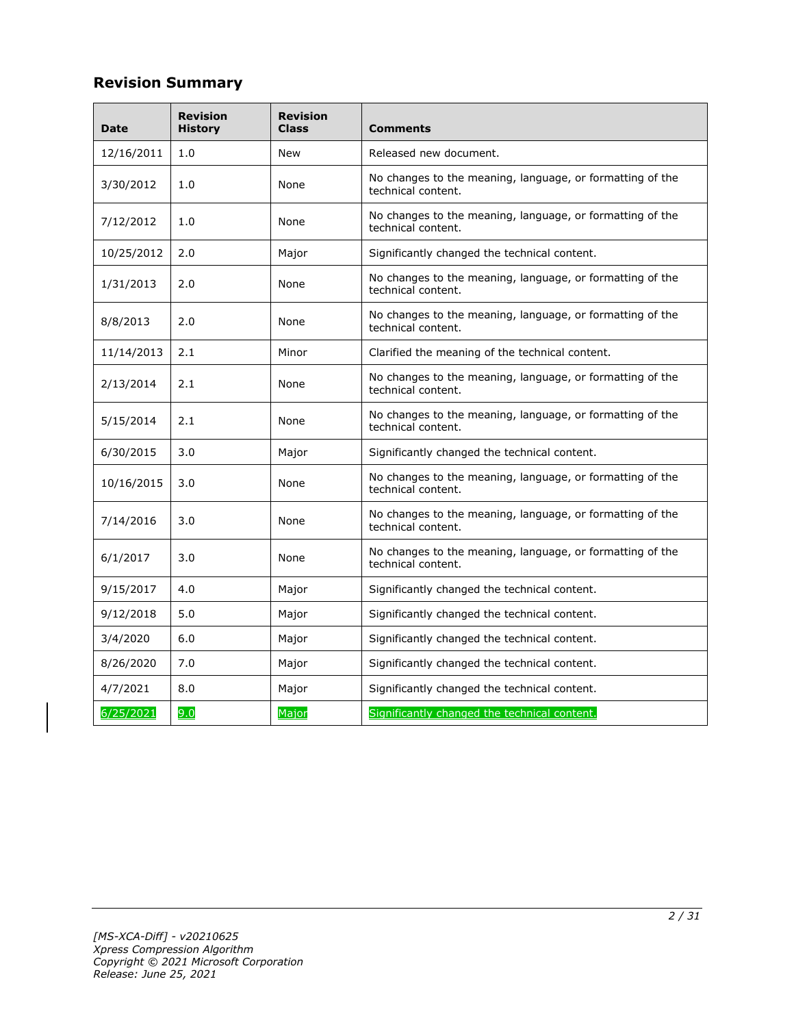## **Revision Summary**

| Date       | <b>Revision</b><br><b>History</b> | <b>Revision</b><br><b>Class</b> | <b>Comments</b>                                                                 |  |  |  |
|------------|-----------------------------------|---------------------------------|---------------------------------------------------------------------------------|--|--|--|
| 12/16/2011 | 1.0                               | New                             | Released new document.                                                          |  |  |  |
| 3/30/2012  | 1.0                               | None                            | No changes to the meaning, language, or formatting of the<br>technical content. |  |  |  |
| 7/12/2012  | 1.0                               | None                            | No changes to the meaning, language, or formatting of the<br>technical content. |  |  |  |
| 10/25/2012 | 2.0                               | Major                           | Significantly changed the technical content.                                    |  |  |  |
| 1/31/2013  | 2.0                               | None                            | No changes to the meaning, language, or formatting of the<br>technical content. |  |  |  |
| 8/8/2013   | 2.0                               | None                            | No changes to the meaning, language, or formatting of the<br>technical content. |  |  |  |
| 11/14/2013 | 2.1                               | Minor                           | Clarified the meaning of the technical content.                                 |  |  |  |
| 2/13/2014  | 2.1                               | None                            | No changes to the meaning, language, or formatting of the<br>technical content. |  |  |  |
| 5/15/2014  | 2.1                               | None                            | No changes to the meaning, language, or formatting of the<br>technical content. |  |  |  |
| 6/30/2015  | 3.0                               | Major                           | Significantly changed the technical content.                                    |  |  |  |
| 10/16/2015 | 3.0                               | None                            | No changes to the meaning, language, or formatting of the<br>technical content. |  |  |  |
| 7/14/2016  | 3.0                               | None                            | No changes to the meaning, language, or formatting of the<br>technical content. |  |  |  |
| 6/1/2017   | 3.0                               | None                            | No changes to the meaning, language, or formatting of the<br>technical content. |  |  |  |
| 9/15/2017  | 4.0                               | Major                           | Significantly changed the technical content.                                    |  |  |  |
| 9/12/2018  | 5.0                               | Major                           | Significantly changed the technical content.                                    |  |  |  |
| 3/4/2020   | 6.0                               | Major                           | Significantly changed the technical content.                                    |  |  |  |
| 8/26/2020  | 7.0                               | Major                           | Significantly changed the technical content.                                    |  |  |  |
| 4/7/2021   | 8.0                               | Major                           | Significantly changed the technical content.                                    |  |  |  |
| 6/25/2021  | 9.0                               | Major                           | Significantly changed the technical content.                                    |  |  |  |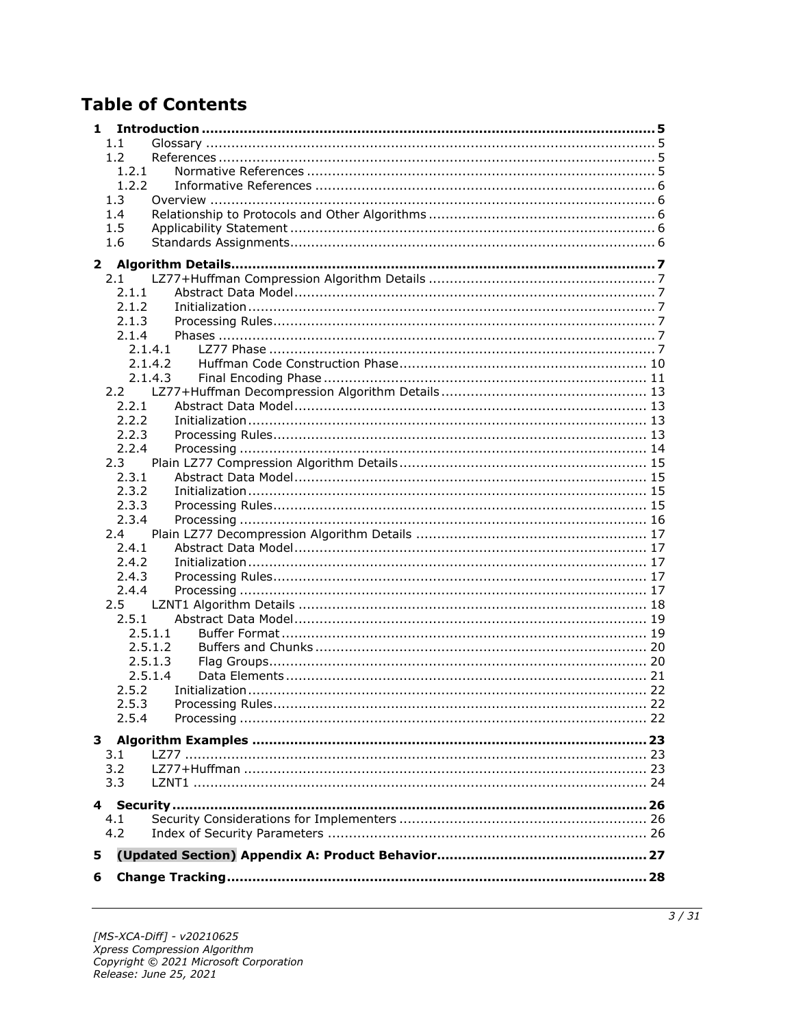## **Table of Contents**

| 1            |                  |  |
|--------------|------------------|--|
|              | 1.1              |  |
|              | 1.2              |  |
|              | 1.2.1            |  |
|              | 1.2.2            |  |
|              | 1.3              |  |
|              | 1.4              |  |
|              | 1.5              |  |
|              | 1.6              |  |
| $\mathbf{2}$ |                  |  |
|              | 2.1              |  |
|              | 2.1.1            |  |
|              | 2.1.2            |  |
|              | 2.1.3            |  |
|              | 2.1.4            |  |
|              | 2.1.4.1          |  |
|              | 2.1.4.2          |  |
|              | 2.1.4.3          |  |
|              |                  |  |
|              | 2.2.1            |  |
|              | 2.2.2            |  |
|              | 2.2.3            |  |
|              | 2.2.4            |  |
|              | 2.3              |  |
|              | 2.3.1            |  |
|              | 2.3.2            |  |
|              | 2.3.3            |  |
|              | 2.3.4            |  |
|              | 2.4              |  |
|              | 2.4.1            |  |
|              | 2.4.2            |  |
|              | 2.4.3            |  |
|              | 2.4.4            |  |
|              | $2.5^{\circ}$    |  |
|              | 2.5.1            |  |
|              | 2.5.1.1          |  |
|              | 2.5.1.2          |  |
|              | 2.5.1.3          |  |
|              | 2.5.1.4<br>2.5.2 |  |
|              |                  |  |
|              | 2.5.3<br>2.5.4   |  |
|              |                  |  |
|              |                  |  |
|              | 3.1              |  |
|              | 3.2              |  |
|              | 3.3              |  |
|              |                  |  |
|              | 4.1              |  |
|              | 4.2              |  |
|              |                  |  |
| 5            |                  |  |
| 6            |                  |  |
|              |                  |  |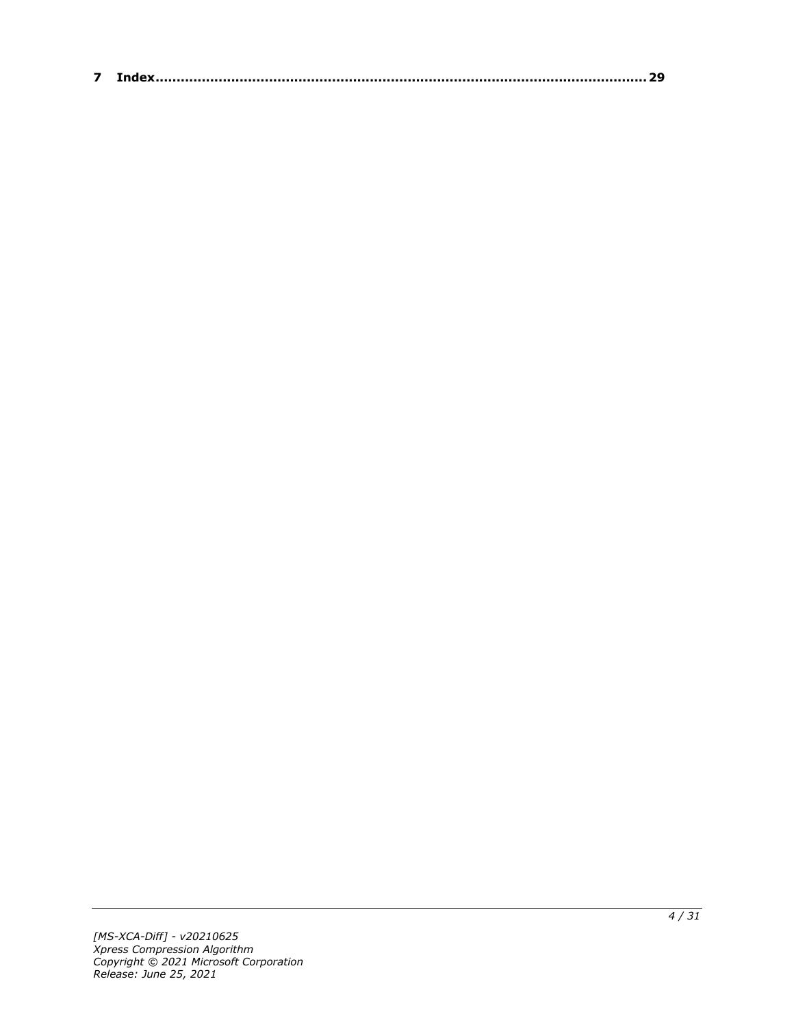| $\sim$ |  |
|--------|--|
|--------|--|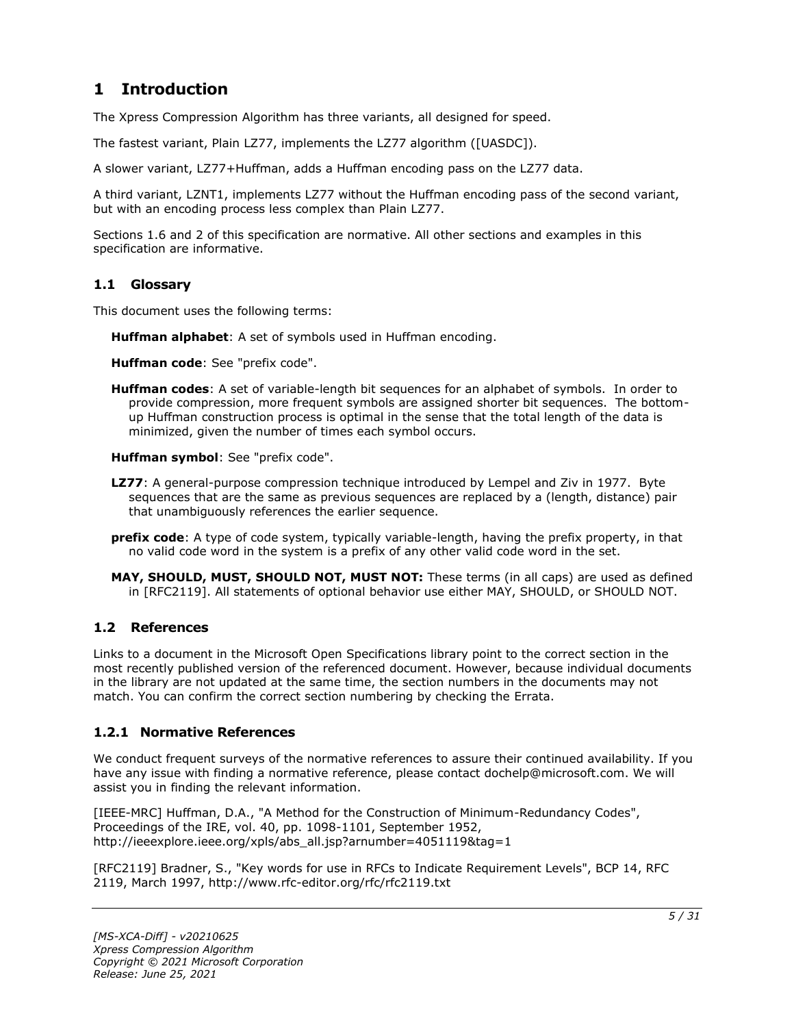## <span id="page-4-0"></span>**1 Introduction**

The Xpress Compression Algorithm has three variants, all designed for speed.

The fastest variant, Plain LZ77, implements the LZ77 algorithm ([UASDC]).

A slower variant, LZ77+Huffman, adds a Huffman encoding pass on the LZ77 data.

A third variant, LZNT1, implements LZ77 without the Huffman encoding pass of the second variant, but with an encoding process less complex than Plain LZ77.

Sections 1.6 and 2 of this specification are normative. All other sections and examples in this specification are informative.

#### <span id="page-4-1"></span>**1.1 Glossary**

This document uses the following terms:

**Huffman alphabet**: A set of symbols used in Huffman encoding.

**Huffman code**: See "prefix code".

**Huffman codes**: A set of variable-length bit sequences for an alphabet of symbols. In order to provide compression, more frequent symbols are assigned shorter bit sequences. The bottomup Huffman construction process is optimal in the sense that the total length of the data is minimized, given the number of times each symbol occurs.

**Huffman symbol**: See "prefix code".

- **LZ77**: A general-purpose compression technique introduced by Lempel and Ziv in 1977. Byte sequences that are the same as previous sequences are replaced by a (length, distance) pair that unambiguously references the earlier sequence.
- **prefix code**: A type of code system, typically variable-length, having the prefix property, in that no valid code word in the system is a prefix of any other valid code word in the set.
- **MAY, SHOULD, MUST, SHOULD NOT, MUST NOT:** These terms (in all caps) are used as defined in [RFC2119]. All statements of optional behavior use either MAY, SHOULD, or SHOULD NOT.

#### <span id="page-4-2"></span>**1.2 References**

Links to a document in the Microsoft Open Specifications library point to the correct section in the most recently published version of the referenced document. However, because individual documents in the library are not updated at the same time, the section numbers in the documents may not match. You can confirm the correct section numbering by checking the Errata.

#### <span id="page-4-3"></span>**1.2.1 Normative References**

We conduct frequent surveys of the normative references to assure their continued availability. If you have any issue with finding a normative reference, please contact dochelp@microsoft.com. We will assist you in finding the relevant information.

[IEEE-MRC] Huffman, D.A., "A Method for the Construction of Minimum-Redundancy Codes", Proceedings of the IRE, vol. 40, pp. 1098-1101, September 1952, http://ieeexplore.ieee.org/xpls/abs\_all.jsp?arnumber=4051119&tag=1

[RFC2119] Bradner, S., "Key words for use in RFCs to Indicate Requirement Levels", BCP 14, RFC 2119, March 1997, http://www.rfc-editor.org/rfc/rfc2119.txt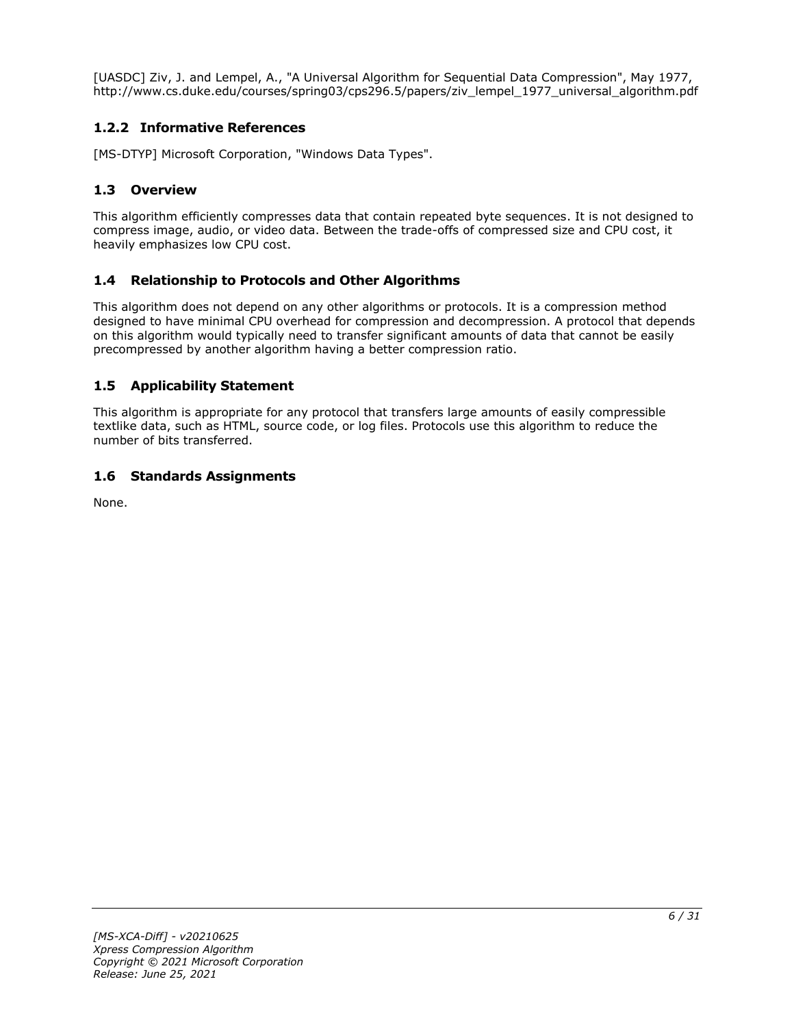[UASDC] Ziv, J. and Lempel, A., "A Universal Algorithm for Sequential Data Compression", May 1977, http://www.cs.duke.edu/courses/spring03/cps296.5/papers/ziv\_lempel\_1977\_universal\_algorithm.pdf

### <span id="page-5-0"></span>**1.2.2 Informative References**

[MS-DTYP] Microsoft Corporation, "Windows Data Types".

#### <span id="page-5-1"></span>**1.3 Overview**

This algorithm efficiently compresses data that contain repeated byte sequences. It is not designed to compress image, audio, or video data. Between the trade-offs of compressed size and CPU cost, it heavily emphasizes low CPU cost.

#### <span id="page-5-2"></span>**1.4 Relationship to Protocols and Other Algorithms**

This algorithm does not depend on any other algorithms or protocols. It is a compression method designed to have minimal CPU overhead for compression and decompression. A protocol that depends on this algorithm would typically need to transfer significant amounts of data that cannot be easily precompressed by another algorithm having a better compression ratio.

#### <span id="page-5-3"></span>**1.5 Applicability Statement**

This algorithm is appropriate for any protocol that transfers large amounts of easily compressible textlike data, such as HTML, source code, or log files. Protocols use this algorithm to reduce the number of bits transferred.

#### <span id="page-5-4"></span>**1.6 Standards Assignments**

None.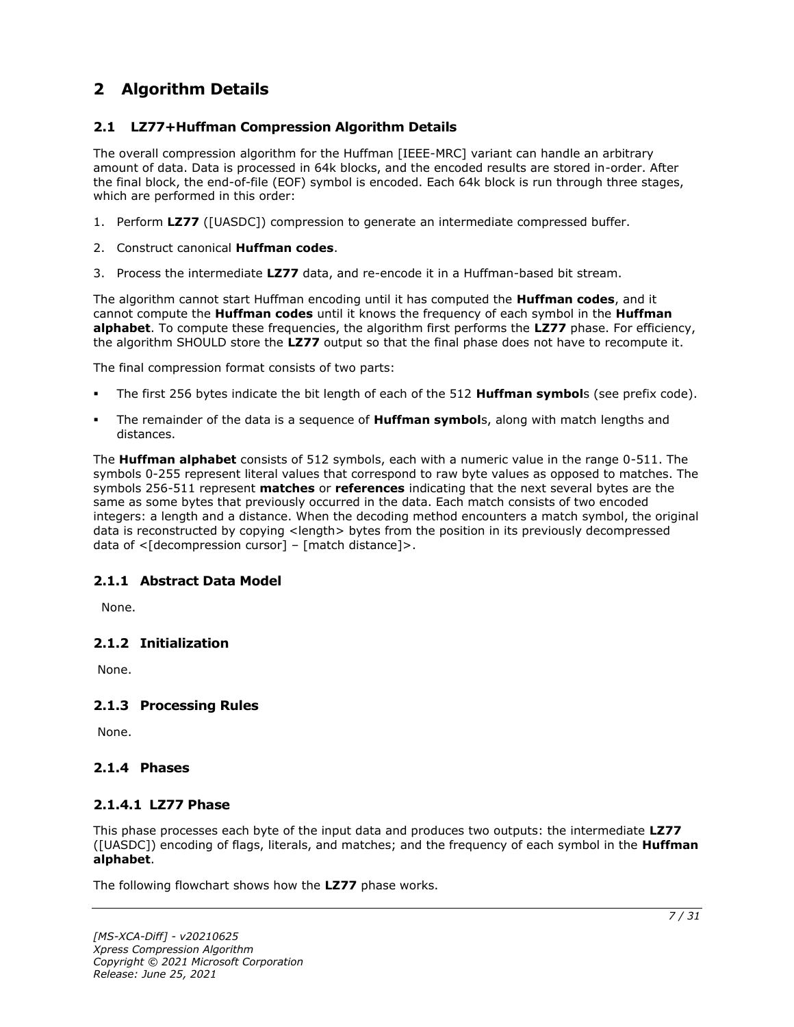## <span id="page-6-0"></span>**2 Algorithm Details**

#### <span id="page-6-1"></span>**2.1 LZ77+Huffman Compression Algorithm Details**

The overall compression algorithm for the Huffman [IEEE-MRC] variant can handle an arbitrary amount of data. Data is processed in 64k blocks, and the encoded results are stored in-order. After the final block, the end-of-file (EOF) symbol is encoded. Each 64k block is run through three stages, which are performed in this order:

- 1. Perform **LZ77** ([UASDC]) compression to generate an intermediate compressed buffer.
- 2. Construct canonical **Huffman codes**.
- 3. Process the intermediate **LZ77** data, and re-encode it in a Huffman-based bit stream.

The algorithm cannot start Huffman encoding until it has computed the **Huffman codes**, and it cannot compute the **Huffman codes** until it knows the frequency of each symbol in the **Huffman alphabet**. To compute these frequencies, the algorithm first performs the **LZ77** phase. For efficiency, the algorithm SHOULD store the **LZ77** output so that the final phase does not have to recompute it.

The final compression format consists of two parts:

- The first 256 bytes indicate the bit length of each of the 512 **Huffman symbol**s (see prefix code).
- The remainder of the data is a sequence of **Huffman symbol**s, along with match lengths and distances.

The **Huffman alphabet** consists of 512 symbols, each with a numeric value in the range 0-511. The symbols 0-255 represent literal values that correspond to raw byte values as opposed to matches. The symbols 256-511 represent **matches** or **references** indicating that the next several bytes are the same as some bytes that previously occurred in the data. Each match consists of two encoded integers: a length and a distance. When the decoding method encounters a match symbol, the original data is reconstructed by copying <length> bytes from the position in its previously decompressed data of  $\leq$ [decompression cursor] – [match distance]>.

#### <span id="page-6-2"></span>**2.1.1 Abstract Data Model**

None.

#### <span id="page-6-3"></span>**2.1.2 Initialization**

None.

#### <span id="page-6-4"></span>**2.1.3 Processing Rules**

None.

#### <span id="page-6-6"></span><span id="page-6-5"></span>**2.1.4 Phases**

#### **2.1.4.1 LZ77 Phase**

This phase processes each byte of the input data and produces two outputs: the intermediate **LZ77** ([UASDC]) encoding of flags, literals, and matches; and the frequency of each symbol in the **Huffman alphabet**.

The following flowchart shows how the **LZ77** phase works.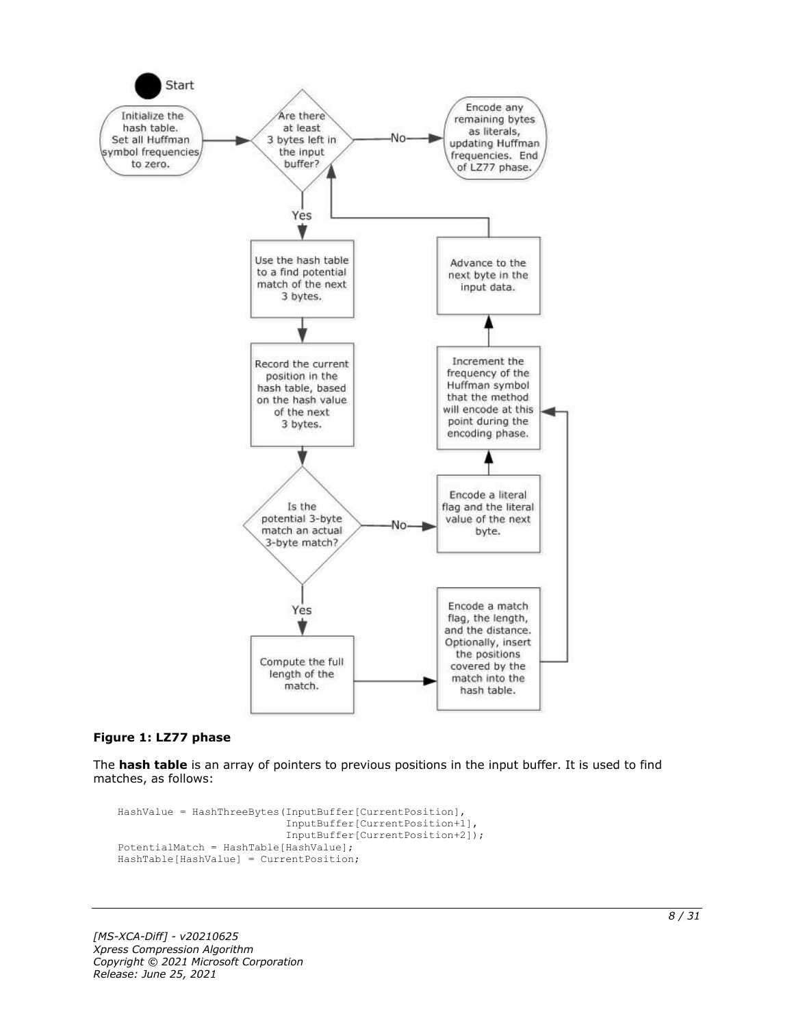

#### **Figure 1: LZ77 phase**

The **hash table** is an array of pointers to previous positions in the input buffer. It is used to find matches, as follows:

```
HashValue = HashThreeBytes(InputBuffer[CurrentPosition],
                            InputBuffer[CurrentPosition+1],
                           InputBuffer[CurrentPosition+2]);
PotentialMatch = HashTable[HashValue];
HashTable[HashValue] = CurrentPosition;
```
*[MS-XCA-Diff] - v20210625 Xpress Compression Algorithm Copyright © 2021 Microsoft Corporation Release: June 25, 2021*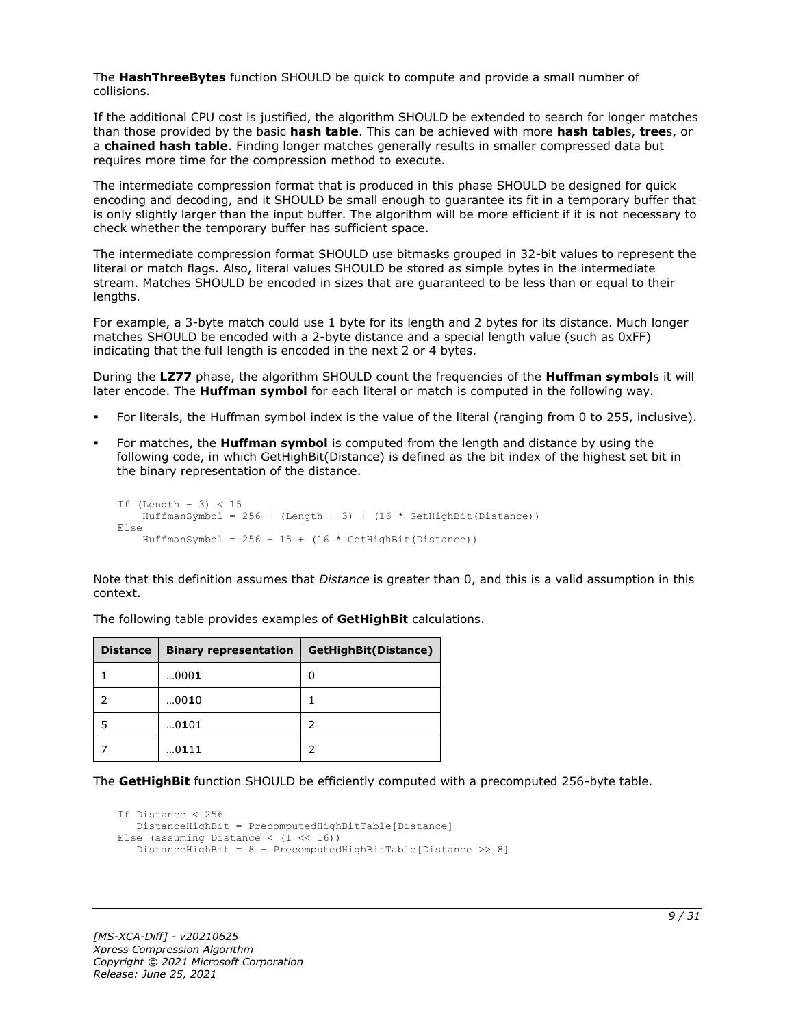The **HashThreeBytes** function SHOULD be quick to compute and provide a small number of collisions.

If the additional CPU cost is justified, the algorithm SHOULD be extended to search for longer matches than those provided by the basic **hash table**. This can be achieved with more **hash table**s, **tree**s, or a **chained hash table**. Finding longer matches generally results in smaller compressed data but requires more time for the compression method to execute.

The intermediate compression format that is produced in this phase SHOULD be designed for quick encoding and decoding, and it SHOULD be small enough to guarantee its fit in a temporary buffer that is only slightly larger than the input buffer. The algorithm will be more efficient if it is not necessary to check whether the temporary buffer has sufficient space.

The intermediate compression format SHOULD use bitmasks grouped in 32-bit values to represent the literal or match flags. Also, literal values SHOULD be stored as simple bytes in the intermediate stream. Matches SHOULD be encoded in sizes that are guaranteed to be less than or equal to their lengths.

For example, a 3-byte match could use 1 byte for its length and 2 bytes for its distance. Much longer matches SHOULD be encoded with a 2-byte distance and a special length value (such as 0xFF) indicating that the full length is encoded in the next 2 or 4 bytes.

During the **LZ77** phase, the algorithm SHOULD count the frequencies of the **Huffman symbol**s it will later encode. The **Huffman symbol** for each literal or match is computed in the following way.

- For literals, the Huffman symbol index is the value of the literal (ranging from 0 to 255, inclusive).
- For matches, the **Huffman symbol** is computed from the length and distance by using the following code, in which GetHighBit(Distance) is defined as the bit index of the highest set bit in the binary representation of the distance.

```
If (Lenqth - 3) < 15HuffmanSymbol = 256 + (Length - 3) + (16 * GetHighBit(Distance))Else
    HuffmanSymbol = 256 + 15 + (16 * \text{GetHighBit}(\text{Distance}))
```
Note that this definition assumes that *Distance* is greater than 0, and this is a valid assumption in this context.

| <b>Distance</b> | <b>Binary representation</b> | GetHighBit(Distance) |
|-----------------|------------------------------|----------------------|
|                 | 0001                         | 0                    |
|                 | 0010                         |                      |
| 5               | 0101                         | 2                    |
|                 | 0111                         |                      |

The following table provides examples of **GetHighBit** calculations.

The **GetHighBit** function SHOULD be efficiently computed with a precomputed 256-byte table.

```
If Distance < 256
    DistanceHighBit = PrecomputedHighBitTable[Distance]
Else (assuming Distance \langle (1 \langle 16))
    DistanceHighBit = 8 + PrecomputedHighBitTable[Distance >> 8]
```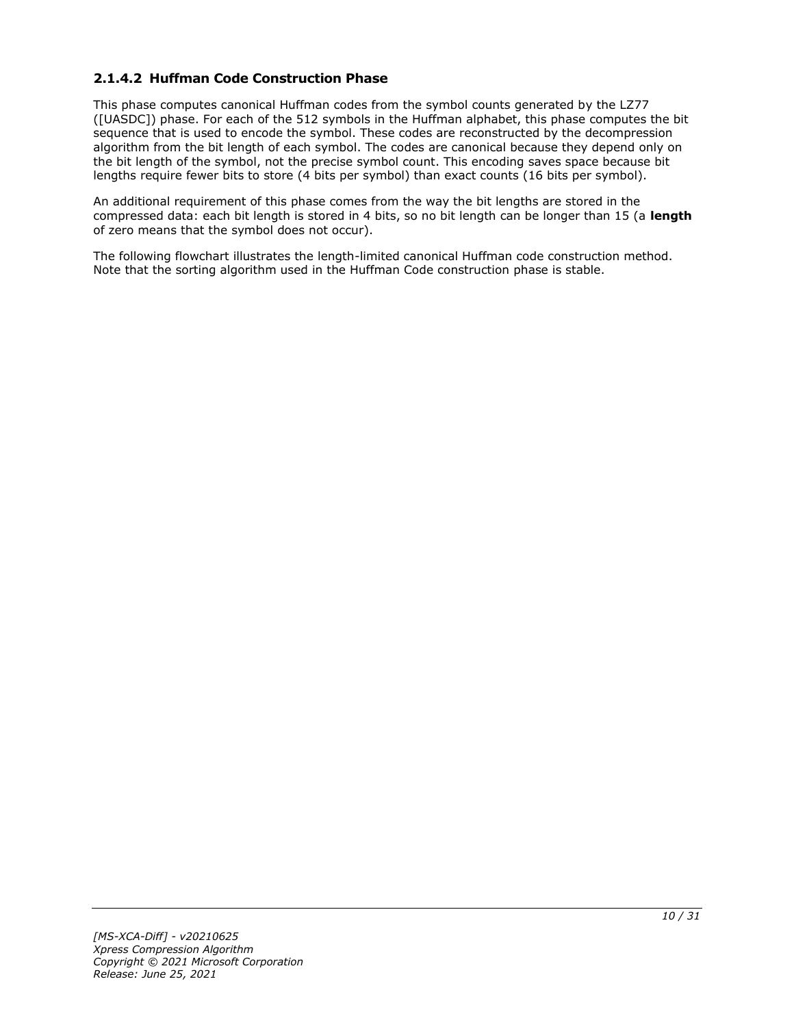### <span id="page-9-0"></span>**2.1.4.2 Huffman Code Construction Phase**

This phase computes canonical Huffman codes from the symbol counts generated by the LZ77 ([UASDC]) phase. For each of the 512 symbols in the Huffman alphabet, this phase computes the bit sequence that is used to encode the symbol. These codes are reconstructed by the decompression algorithm from the bit length of each symbol. The codes are canonical because they depend only on the bit length of the symbol, not the precise symbol count. This encoding saves space because bit lengths require fewer bits to store (4 bits per symbol) than exact counts (16 bits per symbol).

An additional requirement of this phase comes from the way the bit lengths are stored in the compressed data: each bit length is stored in 4 bits, so no bit length can be longer than 15 (a **length** of zero means that the symbol does not occur).

The following flowchart illustrates the length-limited canonical Huffman code construction method. Note that the sorting algorithm used in the Huffman Code construction phase is stable.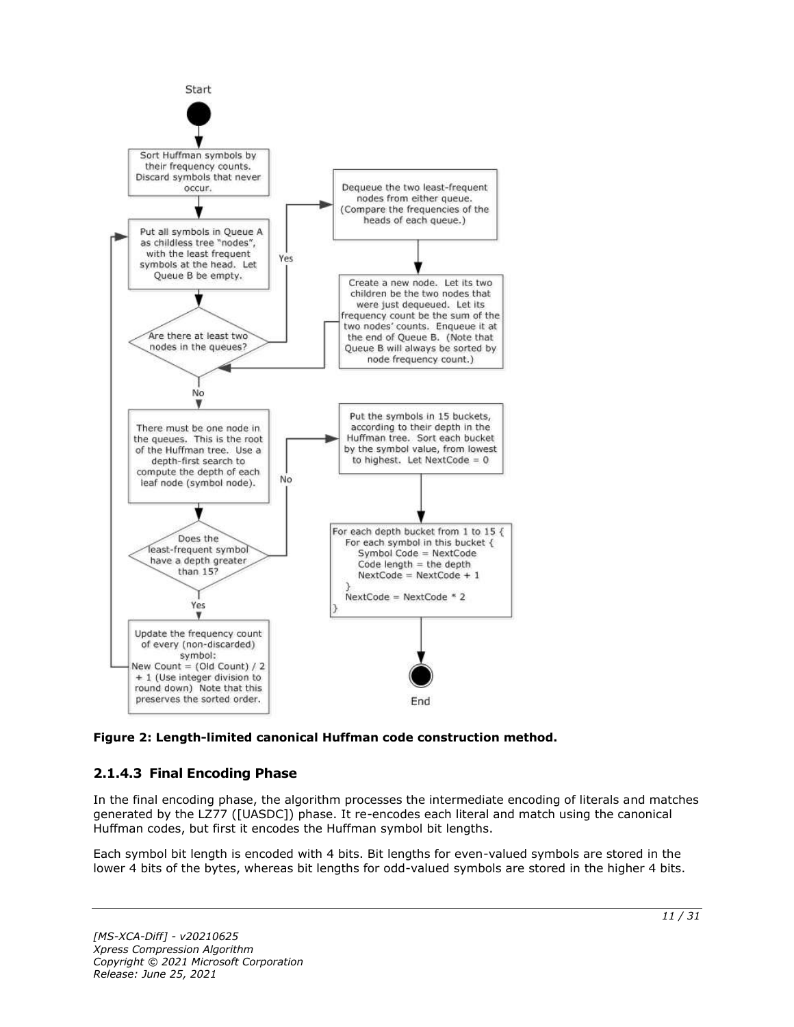

**Figure 2: Length-limited canonical Huffman code construction method.**

### <span id="page-10-0"></span>**2.1.4.3 Final Encoding Phase**

In the final encoding phase, the algorithm processes the intermediate encoding of literals and matches generated by the LZ77 ([UASDC]) phase. It re-encodes each literal and match using the canonical Huffman codes, but first it encodes the Huffman symbol bit lengths.

Each symbol bit length is encoded with 4 bits. Bit lengths for even-valued symbols are stored in the lower 4 bits of the bytes, whereas bit lengths for odd-valued symbols are stored in the higher 4 bits.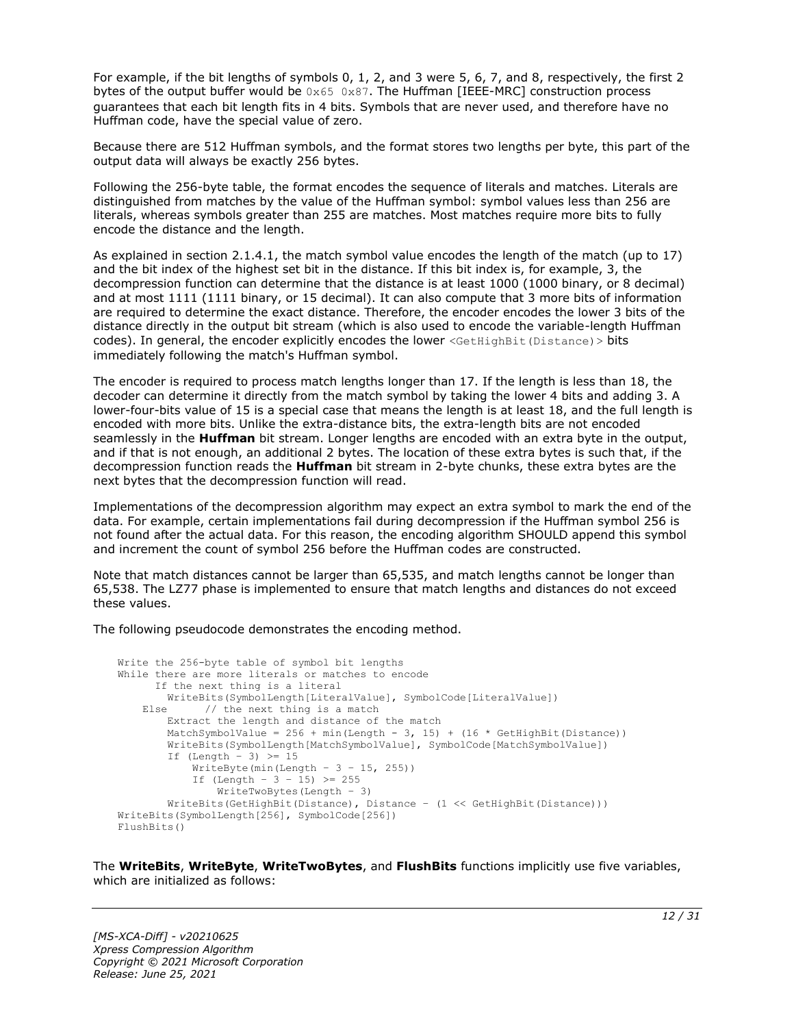For example, if the bit lengths of symbols 0, 1, 2, and 3 were 5, 6, 7, and 8, respectively, the first 2 bytes of the output buffer would be  $0 \times 65$  0x87. The Huffman [IEEE-MRC] construction process guarantees that each bit length fits in 4 bits. Symbols that are never used, and therefore have no Huffman code, have the special value of zero.

Because there are 512 Huffman symbols, and the format stores two lengths per byte, this part of the output data will always be exactly 256 bytes.

Following the 256-byte table, the format encodes the sequence of literals and matches. Literals are distinguished from matches by the value of the Huffman symbol: symbol values less than 256 are literals, whereas symbols greater than 255 are matches. Most matches require more bits to fully encode the distance and the length.

As explained in section 2.1.4.1, the match symbol value encodes the length of the match (up to 17) and the bit index of the highest set bit in the distance. If this bit index is, for example, 3, the decompression function can determine that the distance is at least 1000 (1000 binary, or 8 decimal) and at most 1111 (1111 binary, or 15 decimal). It can also compute that 3 more bits of information are required to determine the exact distance. Therefore, the encoder encodes the lower 3 bits of the distance directly in the output bit stream (which is also used to encode the variable-length Huffman codes). In general, the encoder explicitly encodes the lower <GetHighBit(Distance) > bits immediately following the match's Huffman symbol.

The encoder is required to process match lengths longer than 17. If the length is less than 18, the decoder can determine it directly from the match symbol by taking the lower 4 bits and adding 3. A lower-four-bits value of 15 is a special case that means the length is at least 18, and the full length is encoded with more bits. Unlike the extra-distance bits, the extra-length bits are not encoded seamlessly in the **Huffman** bit stream. Longer lengths are encoded with an extra byte in the output, and if that is not enough, an additional 2 bytes. The location of these extra bytes is such that, if the decompression function reads the **Huffman** bit stream in 2-byte chunks, these extra bytes are the next bytes that the decompression function will read.

Implementations of the decompression algorithm may expect an extra symbol to mark the end of the data. For example, certain implementations fail during decompression if the Huffman symbol 256 is not found after the actual data. For this reason, the encoding algorithm SHOULD append this symbol and increment the count of symbol 256 before the Huffman codes are constructed.

Note that match distances cannot be larger than 65.535, and match lengths cannot be longer than 65,538. The LZ77 phase is implemented to ensure that match lengths and distances do not exceed these values.

The following pseudocode demonstrates the encoding method.

```
Write the 256-byte table of symbol bit lengths
While there are more literals or matches to encode
      If the next thing is a literal
         WriteBits(SymbolLength[LiteralValue], SymbolCode[LiteralValue])
   Else // the next thing is a match
         Extract the length and distance of the match
        MatchSymbolValue = 256 + min(Length - 3, 15) + (16 * GetHighBit(Distance))
         WriteBits(SymbolLength[MatchSymbolValue], SymbolCode[MatchSymbolValue])
        If (Lenath - 3) \geq 15WriteByte(min(Length - 3 - 15, 255))
           If (Length - 3 - 15) >= 255
               WriteTwoBytes(Length - 3)
         WriteBits(GetHighBit(Distance), Distance – (1 << GetHighBit(Distance)))
WriteBits(SymbolLength[256], SymbolCode[256])
FlushBits()
```
The **WriteBits**, **WriteByte**, **WriteTwoBytes**, and **FlushBits** functions implicitly use five variables, which are initialized as follows: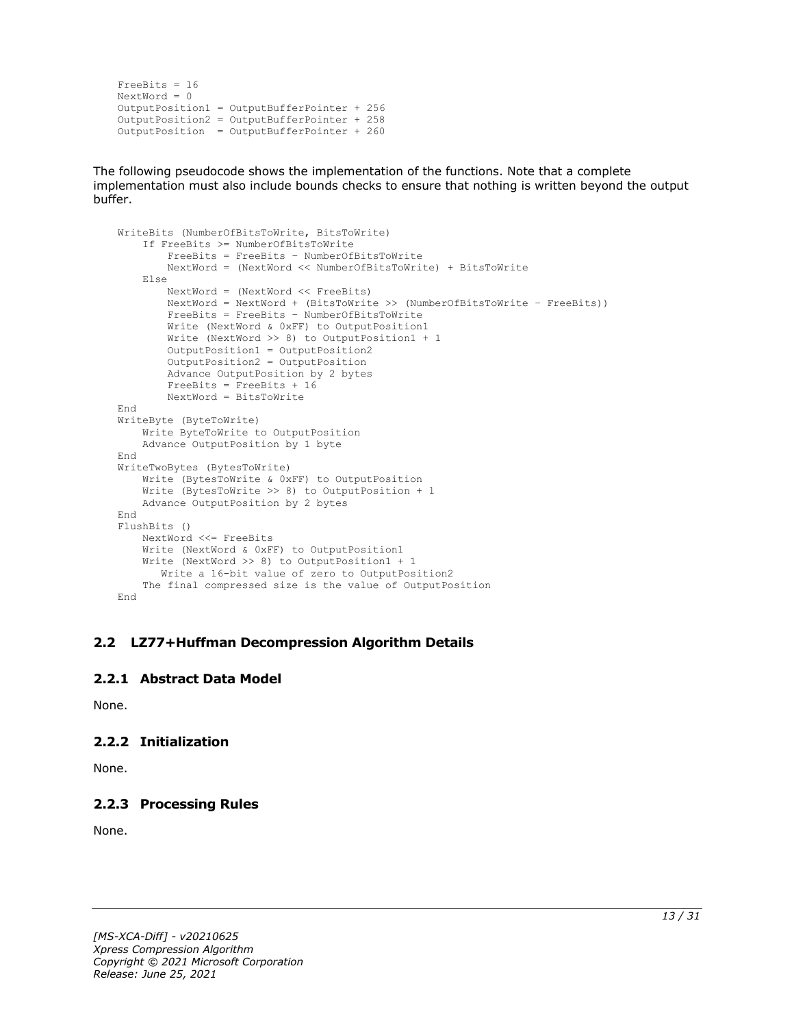```
FreeBits = 16
NextWord = 0
OutputPosition1 = OutputBufferPointer + 256
OutputPosition2 = OutputBufferPointer + 258 
OutputPosition = OutputBufferPointer + 260
```
The following pseudocode shows the implementation of the functions. Note that a complete implementation must also include bounds checks to ensure that nothing is written beyond the output buffer.

```
WriteBits (NumberOfBitsToWrite, BitsToWrite)
     If FreeBits >= NumberOfBitsToWrite
         FreeBits = FreeBits – NumberOfBitsToWrite
         NextWord = (NextWord << NumberOfBitsToWrite) + BitsToWrite
     Else
         NextWord = (NextWord << FreeBits)
         NextWord = NextWord + (BitsToWrite >> (NumberOfBitsToWrite – FreeBits))
         FreeBits = FreeBits – NumberOfBitsToWrite
         Write (NextWord & 0xFF) to OutputPosition1
         Write (NextWord >> 8) to OutputPosition1 + 1
         OutputPosition1 = OutputPosition2
        OutputPosition2 = OutputPosition
         Advance OutputPosition by 2 bytes
         FreeBits = FreeBits + 16
         NextWord = BitsToWrite
End
WriteByte (ByteToWrite)
    Write ByteToWrite to OutputPosition
     Advance OutputPosition by 1 byte
End
WriteTwoBytes (BytesToWrite)
     Write (BytesToWrite & 0xFF) to OutputPosition
     Write (BytesToWrite >> 8) to OutputPosition + 1
     Advance OutputPosition by 2 bytes
End
FlushBits ()
     NextWord <<= FreeBits
     Write (NextWord & 0xFF) to OutputPosition1
     Write (NextWord >> 8) to OutputPosition1 + 1
       Write a 16-bit value of zero to OutputPosition2
     The final compressed size is the value of OutputPosition
End
```
#### <span id="page-12-0"></span>**2.2 LZ77+Huffman Decompression Algorithm Details**

#### <span id="page-12-1"></span>**2.2.1 Abstract Data Model**

None.

#### <span id="page-12-2"></span>**2.2.2 Initialization**

None.

#### <span id="page-12-3"></span>**2.2.3 Processing Rules**

None.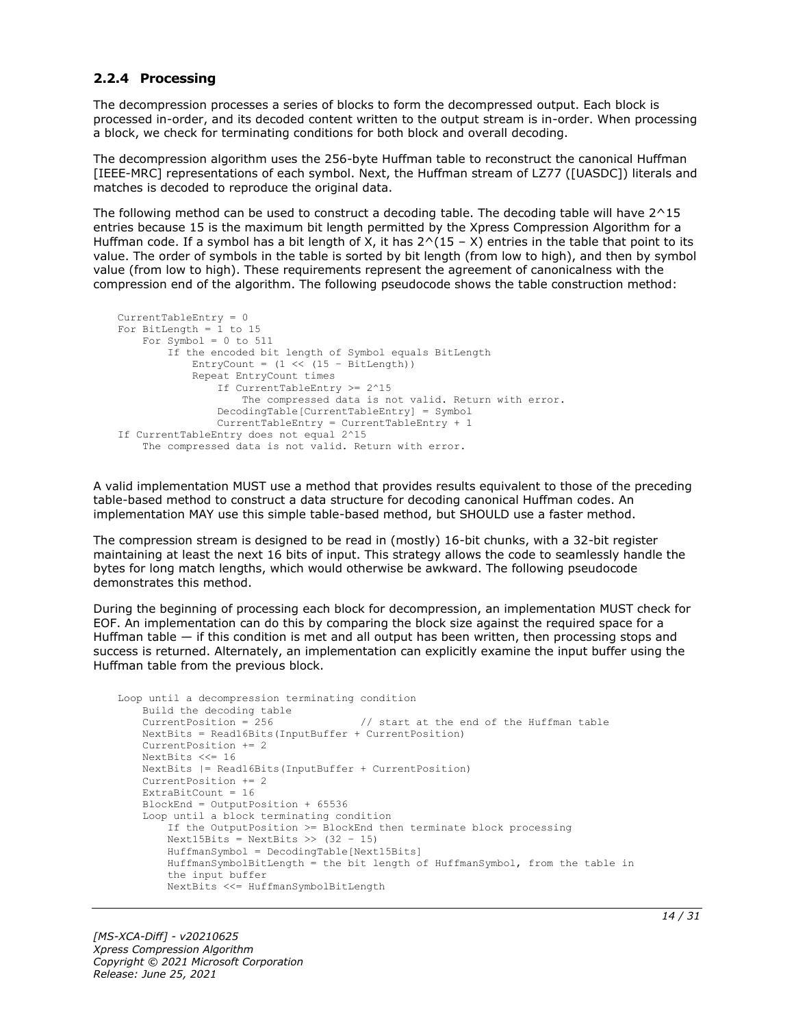#### <span id="page-13-0"></span>**2.2.4 Processing**

The decompression processes a series of blocks to form the decompressed output. Each block is processed in-order, and its decoded content written to the output stream is in-order. When processing a block, we check for terminating conditions for both block and overall decoding.

The decompression algorithm uses the 256-byte Huffman table to reconstruct the canonical Huffman [IEEE-MRC] representations of each symbol. Next, the Huffman stream of LZ77 ([UASDC]) literals and matches is decoded to reproduce the original data.

The following method can be used to construct a decoding table. The decoding table will have 2^15 entries because 15 is the maximum bit length permitted by the Xpress Compression Algorithm for a Huffman code. If a symbol has a bit length of X, it has  $2^(15 - X)$  entries in the table that point to its value. The order of symbols in the table is sorted by bit length (from low to high), and then by symbol value (from low to high). These requirements represent the agreement of canonicalness with the compression end of the algorithm. The following pseudocode shows the table construction method:

```
CurrentTableEntry = 0
For BitLength = 1 to 15
   For Symbol = 0 to 511
         If the encoded bit length of Symbol equals BitLength
            \text{Entropy} = (1 \ll (15 - \text{BitLength})) Repeat EntryCount times
                 If CurrentTableEntry >= 2^15
                     The compressed data is not valid. Return with error.
                 DecodingTable[CurrentTableEntry] = Symbol
                 CurrentTableEntry = CurrentTableEntry + 1
If CurrentTableEntry does not equal 2^15
     The compressed data is not valid. Return with error.
```
A valid implementation MUST use a method that provides results equivalent to those of the preceding table-based method to construct a data structure for decoding canonical Huffman codes. An implementation MAY use this simple table-based method, but SHOULD use a faster method.

The compression stream is designed to be read in (mostly) 16-bit chunks, with a 32-bit register maintaining at least the next 16 bits of input. This strategy allows the code to seamlessly handle the bytes for long match lengths, which would otherwise be awkward. The following pseudocode demonstrates this method.

During the beginning of processing each block for decompression, an implementation MUST check for EOF. An implementation can do this by comparing the block size against the required space for a Huffman table — if this condition is met and all output has been written, then processing stops and success is returned. Alternately, an implementation can explicitly examine the input buffer using the Huffman table from the previous block.

```
Loop until a decompression terminating condition 
    Build the decoding table
   CurrentPosition = 256 // start at the end of the Huffman table
    NextBits = Read16Bits(InputBuffer + CurrentPosition)
    CurrentPosition += 2
    NextBits <<= 16
    NextBits |= Read16Bits(InputBuffer + CurrentPosition)
    CurrentPosition += 2
   ExtraBitCount = 16 BlockEnd = OutputPosition + 65536
    Loop until a block terminating condition
         If the OutputPosition >= BlockEnd then terminate block processing
       Next15Bits = NextBits \gg (32 - 15) HuffmanSymbol = DecodingTable[Next15Bits]
         HuffmanSymbolBitLength = the bit length of HuffmanSymbol, from the table in
         the input buffer
        NextBits <<= HuffmanSymbolBitLength
```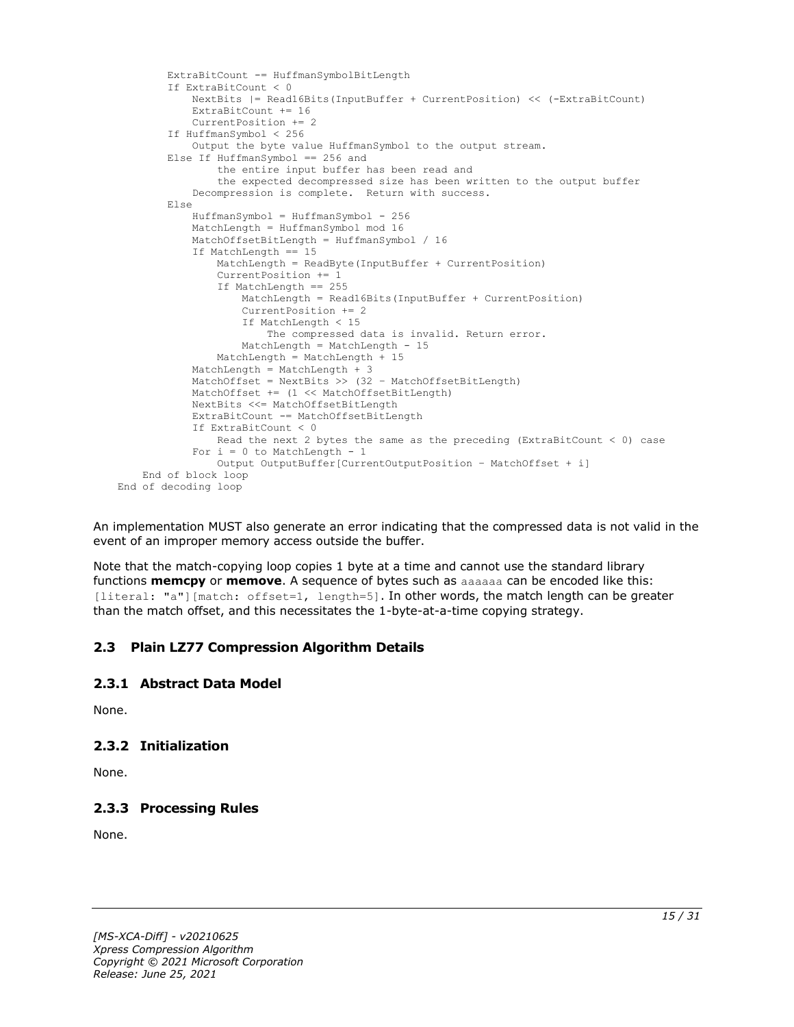```
 ExtraBitCount -= HuffmanSymbolBitLength
         If ExtraBitCount < 0
             NextBits |= Read16Bits(InputBuffer + CurrentPosition) << (-ExtraBitCount)
             ExtraBitCount += 16
             CurrentPosition += 2
         If HuffmanSymbol < 256
             Output the byte value HuffmanSymbol to the output stream.
         Else If HuffmanSymbol == 256 and
                 the entire input buffer has been read and
                the expected decompressed size has been written to the output buffer
             Decompression is complete. Return with success.
         Else
             HuffmanSymbol = HuffmanSymbol - 256
             MatchLength = HuffmanSymbol mod 16
             MatchOffsetBitLength = HuffmanSymbol / 16
             If MatchLength == 15
                 MatchLength = ReadByte(InputBuffer + CurrentPosition)
                 CurrentPosition += 1
                 If MatchLength == 255
                     MatchLength = Read16Bits(InputBuffer + CurrentPosition)
                    CurrentPosition += 2
                    If MatchLength < 15
                         The compressed data is invalid. Return error.
                     MatchLength = MatchLength - 15
                 MatchLength = MatchLength + 15
             MatchLength = MatchLength + 3
            MatchOffset = NextBits >> (32 - \text{MatchOffsetBitLength}) MatchOffset += (1 << MatchOffsetBitLength)
             NextBits <<= MatchOffsetBitLength
             ExtraBitCount -= MatchOffsetBitLength
             If ExtraBitCount < 0
                 Read the next 2 bytes the same as the preceding (ExtraBitCount < 0) case
            For i = 0 to MatchLength - 1
                 Output OutputBuffer[CurrentOutputPosition – MatchOffset + i]
     End of block loop
End of decoding loop
```
An implementation MUST also generate an error indicating that the compressed data is not valid in the event of an improper memory access outside the buffer.

Note that the match-copying loop copies 1 byte at a time and cannot use the standard library functions **memcpy** or **memove**. A sequence of bytes such as aaaaaa can be encoded like this: [literal: "a"][match: offset=1, length=5]. In other words, the match length can be greater than the match offset, and this necessitates the 1-byte-at-a-time copying strategy.

#### <span id="page-14-0"></span>**2.3 Plain LZ77 Compression Algorithm Details**

#### <span id="page-14-1"></span>**2.3.1 Abstract Data Model**

None.

#### <span id="page-14-2"></span>**2.3.2 Initialization**

None.

#### <span id="page-14-3"></span>**2.3.3 Processing Rules**

None.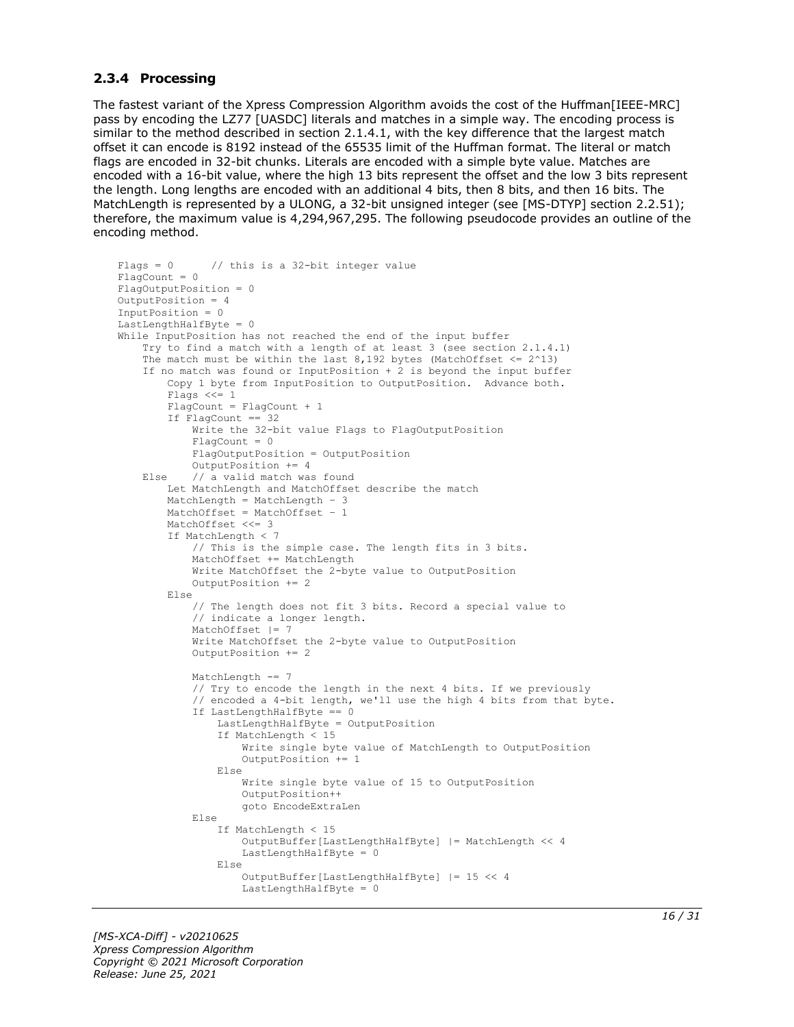#### <span id="page-15-0"></span>**2.3.4 Processing**

The fastest variant of the Xpress Compression Algorithm avoids the cost of the Huffman[IEEE-MRC] pass by encoding the LZ77 [UASDC] literals and matches in a simple way. The encoding process is similar to the method described in section 2.1.4.1, with the key difference that the largest match offset it can encode is 8192 instead of the 65535 limit of the Huffman format. The literal or match flags are encoded in 32-bit chunks. Literals are encoded with a simple byte value. Matches are encoded with a 16-bit value, where the high 13 bits represent the offset and the low 3 bits represent the length. Long lengths are encoded with an additional 4 bits, then 8 bits, and then 16 bits. The MatchLength is represented by a ULONG, a 32-bit unsigned integer (see [MS-DTYP] section 2.2.51); therefore, the maximum value is 4,294,967,295. The following pseudocode provides an outline of the encoding method.

```
Flags = 0 // this is a 32-bit integer value
FlaqCount = 0FlagOutputPosition = 0
OutputPosition = 4
InputPosition = 0
LastLengthHalfByte = 0
While InputPosition has not reached the end of the input buffer
     Try to find a match with a length of at least 3 (see section 2.1.4.1)
    The match must be within the last 8,192 bytes (MatchOffset \leq 2^13)
     If no match was found or InputPosition + 2 is beyond the input buffer
         Copy 1 byte from InputPosition to OutputPosition. Advance both.
         Flags <<= 1
         FlagCount = FlagCount + 1
         If FlagCount == 32
             Write the 32-bit value Flags to FlagOutputPosition
             FlagCount = 0
             FlagOutputPosition = OutputPosition
             OutputPosition += 4
     Else // a valid match was found
         Let MatchLength and MatchOffset describe the match
 MatchLength = MatchLength – 3
 MatchOffset = MatchOffset – 1
         MatchOffset <<= 3
         If MatchLength < 7
             // This is the simple case. The length fits in 3 bits.
             MatchOffset += MatchLength
             Write MatchOffset the 2-byte value to OutputPosition
             OutputPosition += 2
         Else
             // The length does not fit 3 bits. Record a special value to
             // indicate a longer length.
             MatchOffset |= 7
             Write MatchOffset the 2-byte value to OutputPosition
             OutputPosition += 2
             MatchLength -= 7
             // Try to encode the length in the next 4 bits. If we previously
             // encoded a 4-bit length, we'll use the high 4 bits from that byte.
             If LastLengthHalfByte == 0
                 LastLengthHalfByte = OutputPosition
                If MatchLength < 15
                     Write single byte value of MatchLength to OutputPosition
                    OutputPosition += 1
                 Else
                     Write single byte value of 15 to OutputPosition
                    OutputPosition++
                    goto EncodeExtraLen
             Else
                 If MatchLength < 15
                     OutputBuffer[LastLengthHalfByte] |= MatchLength << 4
                    LastLengthHalfByte = 0
                 Else
                     OutputBuffer[LastLengthHalfByte] |= 15 << 4
                    LastLengthHalfByte = 0
```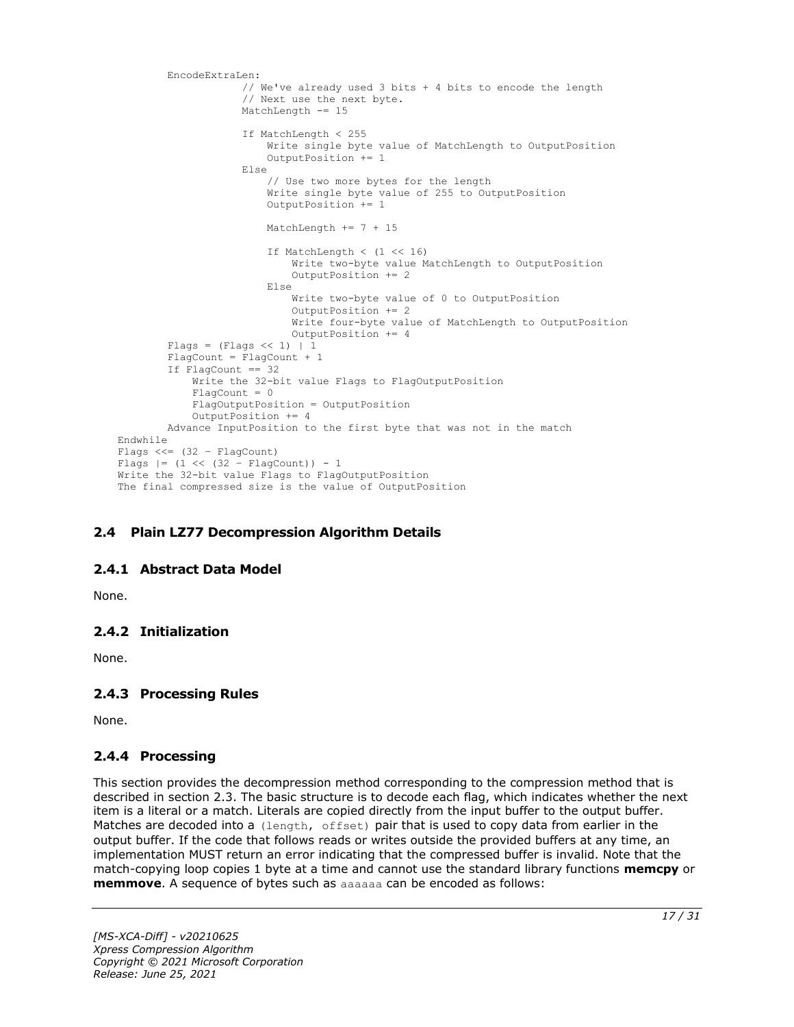```
 EncodeExtraLen:
                      // We've already used 3 bits + 4 bits to encode the length
                     // Next use the next byte.
                    MatchLength -= 15
                      If MatchLength < 255
                          Write single byte value of MatchLength to OutputPosition
                          OutputPosition += 1
                     Else
                          // Use two more bytes for the length
                         Write single byte value of 255 to OutputPosition
                         OutputPosition += 1
                          MatchLength += 7 + 15
                          If MatchLength < (1 << 16)
                              Write two-byte value MatchLength to OutputPosition
                             OutputPosition += 2 Else
                              Write two-byte value of 0 to OutputPosition
                              OutputPosition += 2
                             Write four-byte value of MatchLength to OutputPosition
                              OutputPosition += 4
        Flags = (Flags << 1) | 1
         FlagCount = FlagCount + 1
         If FlagCount == 32
             Write the 32-bit value Flags to FlagOutputPosition
             FlagCount = 0
             FlagOutputPosition = OutputPosition
             OutputPosition += 4
         Advance InputPosition to the first byte that was not in the match
Endwhile
Flags <<=(32 - \text{FlagCount})Flags | = (1 \lt \lt (32 - \text{FlagCount})) - 1Write the 32-bit value Flags to FlagOutputPosition
The final compressed size is the value of OutputPosition
```
#### <span id="page-16-0"></span>**2.4 Plain LZ77 Decompression Algorithm Details**

#### <span id="page-16-1"></span>**2.4.1 Abstract Data Model**

None.

#### <span id="page-16-2"></span>**2.4.2 Initialization**

None.

#### <span id="page-16-3"></span>**2.4.3 Processing Rules**

None.

#### <span id="page-16-4"></span>**2.4.4 Processing**

This section provides the decompression method corresponding to the compression method that is described in section 2.3. The basic structure is to decode each flag, which indicates whether the next item is a literal or a match. Literals are copied directly from the input buffer to the output buffer. Matches are decoded into a (length, offset) pair that is used to copy data from earlier in the output buffer. If the code that follows reads or writes outside the provided buffers at any time, an implementation MUST return an error indicating that the compressed buffer is invalid. Note that the match-copying loop copies 1 byte at a time and cannot use the standard library functions **memcpy** or **memmove**. A sequence of bytes such as aaaaaa can be encoded as follows: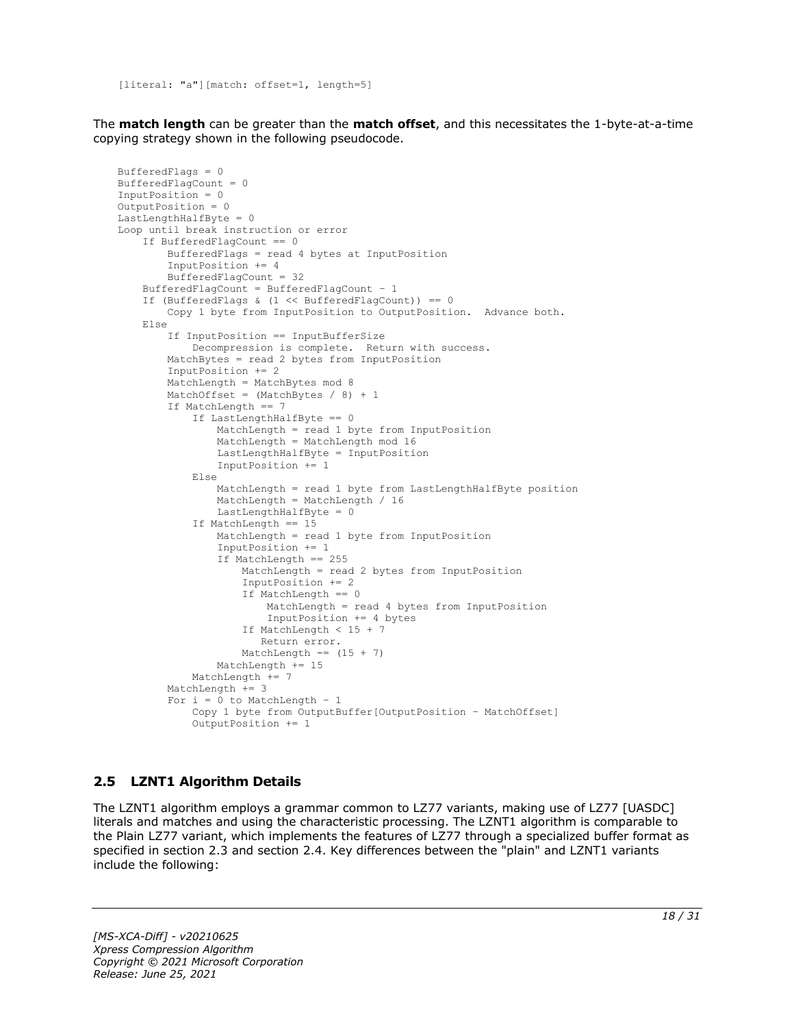[literal: "a"][match: offset=1, length=5]

The **match length** can be greater than the **match offset**, and this necessitates the 1-byte-at-a-time copying strategy shown in the following pseudocode.

```
BufferedFlags = 0
BufferedFlagCount = 0
InputPosition = 0
OutputPosition = 0
LastLengthHalfByte = 0
Loop until break instruction or error
     If BufferedFlagCount == 0
         BufferedFlags = read 4 bytes at InputPosition
         InputPosition += 4
         BufferedFlagCount = 32
     BufferedFlagCount = BufferedFlagCount – 1
     If (BufferedFlags & (1 << BufferedFlagCount)) == 0
         Copy 1 byte from InputPosition to OutputPosition. Advance both.
     Else
         If InputPosition == InputBufferSize
             Decompression is complete. Return with success.
         MatchBytes = read 2 bytes from InputPosition
         InputPosition += 2
         MatchLength = MatchBytes mod 8
        MatchOffset = (MatchBytes / 8) + 1 If MatchLength == 7
             If LastLengthHalfByte == 0
                 MatchLength = read 1 byte from InputPosition
                MatchLength = MatchLength mod 16
                LastLengthHalfByte = InputPosition
                 InputPosition += 1
             Else
                 MatchLength = read 1 byte from LastLengthHalfByte position
                MatchLength = MatchLength / 16
                 LastLengthHalfByte = 0
             If MatchLength == 15
                 MatchLength = read 1 byte from InputPosition
                 InputPosition += 1
                 If MatchLength == 255
                     MatchLength = read 2 bytes from InputPosition
                    InputPosition += 2
                    If MatchLength == 0
                         MatchLength = read 4 bytes from InputPosition
                        InputPosition += 4 bytes
                     If MatchLength < 15 + 7
                        Return error.
                    MatchLength == (15 + 7)
                 MatchLength += 15
             MatchLength += 7
         MatchLength += 3
        For i = 0 to MatchLength - 1
             Copy 1 byte from OutputBuffer[OutputPosition – MatchOffset]
             OutputPosition += 1
```
#### <span id="page-17-0"></span>**2.5 LZNT1 Algorithm Details**

The LZNT1 algorithm employs a grammar common to LZ77 variants, making use of LZ77 [UASDC] literals and matches and using the characteristic processing. The LZNT1 algorithm is comparable to the Plain LZ77 variant, which implements the features of LZ77 through a specialized buffer format as specified in section 2.3 and section 2.4. Key differences between the "plain" and LZNT1 variants include the following: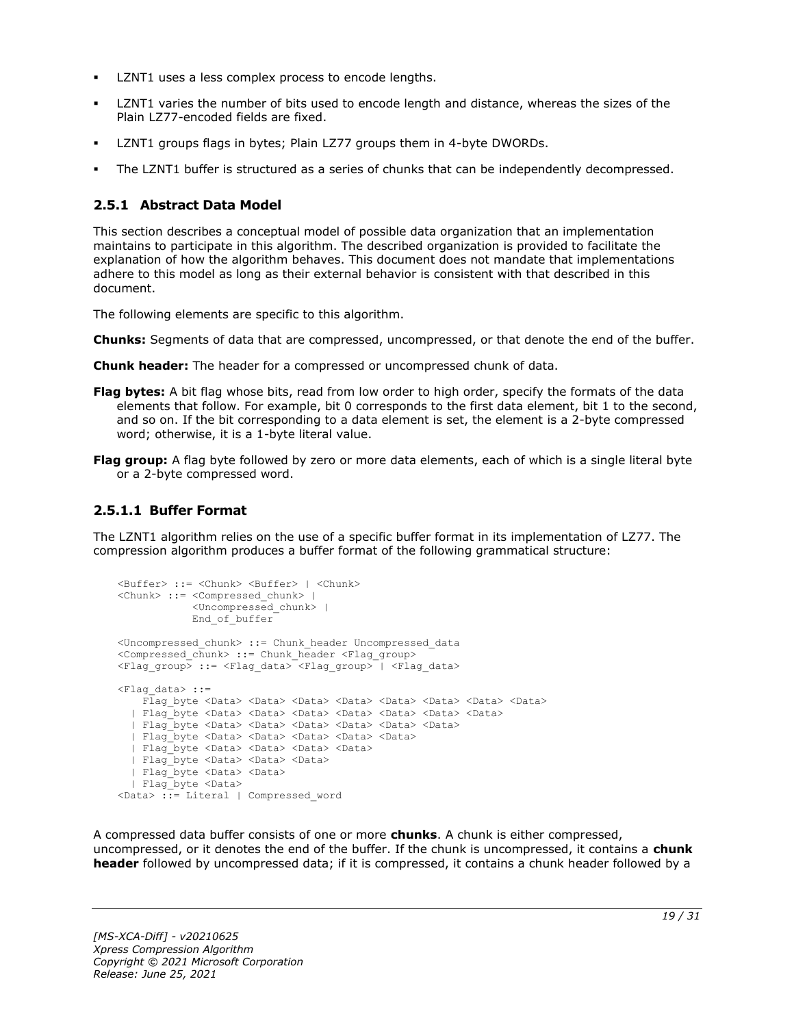- LZNT1 uses a less complex process to encode lengths.
- LZNT1 varies the number of bits used to encode length and distance, whereas the sizes of the Plain LZ77-encoded fields are fixed.
- LZNT1 groups flags in bytes; Plain LZ77 groups them in 4-byte DWORDs.
- The LZNT1 buffer is structured as a series of chunks that can be independently decompressed.

#### <span id="page-18-0"></span>**2.5.1 Abstract Data Model**

This section describes a conceptual model of possible data organization that an implementation maintains to participate in this algorithm. The described organization is provided to facilitate the explanation of how the algorithm behaves. This document does not mandate that implementations adhere to this model as long as their external behavior is consistent with that described in this document.

The following elements are specific to this algorithm.

- **Chunks:** Segments of data that are compressed, uncompressed, or that denote the end of the buffer.
- **Chunk header:** The header for a compressed or uncompressed chunk of data.
- **Flag bytes:** A bit flag whose bits, read from low order to high order, specify the formats of the data elements that follow. For example, bit 0 corresponds to the first data element, bit 1 to the second, and so on. If the bit corresponding to a data element is set, the element is a 2-byte compressed word; otherwise, it is a 1-byte literal value.
- **Flag group:** A flag byte followed by zero or more data elements, each of which is a single literal byte or a 2-byte compressed word.

### <span id="page-18-1"></span>**2.5.1.1 Buffer Format**

The LZNT1 algorithm relies on the use of a specific buffer format in its implementation of LZ77. The compression algorithm produces a buffer format of the following grammatical structure:

```
<Buffer> ::= <Chunk> <Buffer> | <Chunk>
<Chunk> ::= <Compressed_chunk> | 
             <Uncompressed_chunk> |
            End of buffer
<Uncompressed_chunk> ::= Chunk_header Uncompressed_data
<Compressed_chunk> ::= Chunk_header <Flag_group>
<Flag_group> ::= <Flag_data> <Flag_group> | <Flag_data>
<Flag_data> ::=
    Flag byte <Data> <Data> <Data> <Data> <Data> <Data> <Data> <Data> <Data> <Data> <Data> <Data> <Data
   | Flag_byte <Data> <Data> <Data> <Data> <Data> <Data> <Data>
   | Flag_byte <Data> <Data> <Data> <Data> <Data> <Data>
   | Flag_byte <Data> <Data> <Data> <Data> <Data>
   | Flag_byte <Data> <Data> <Data> <Data>
   | Flag_byte <Data> <Data> <Data> 
   | Flag_byte <Data> <Data>
   | Flag_byte <Data> 
<Data> ::= Literal | Compressed_word
```
A compressed data buffer consists of one or more **chunks**. A chunk is either compressed, uncompressed, or it denotes the end of the buffer. If the chunk is uncompressed, it contains a **chunk header** followed by uncompressed data; if it is compressed, it contains a chunk header followed by a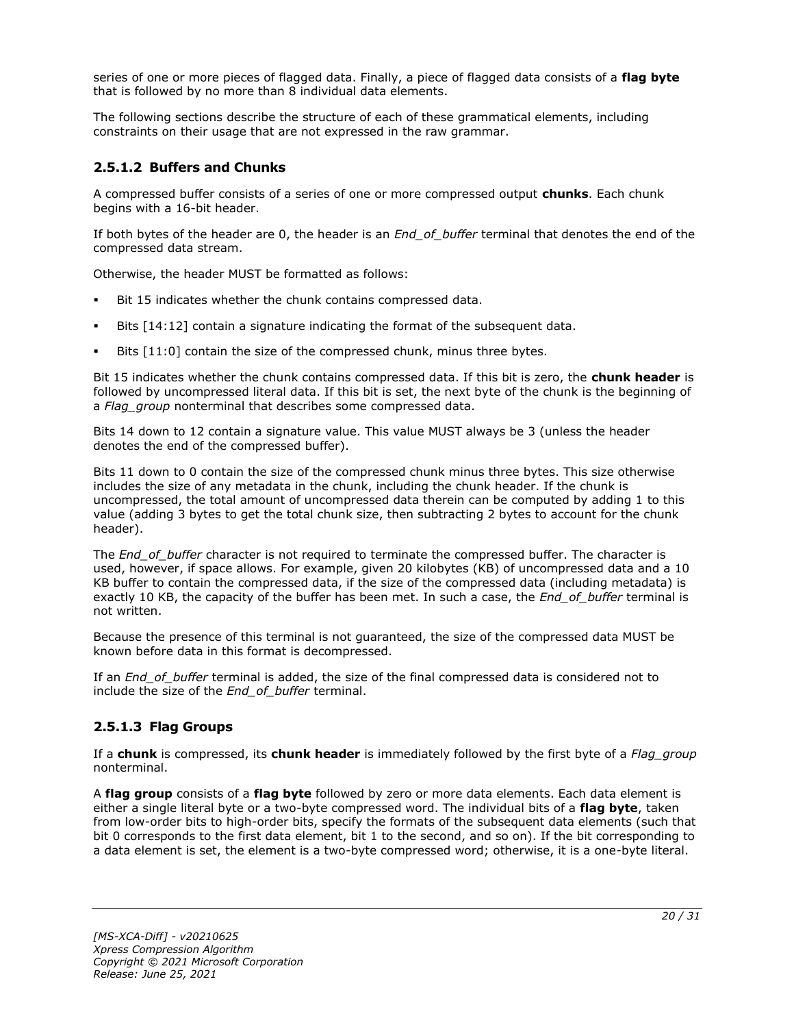series of one or more pieces of flagged data. Finally, a piece of flagged data consists of a **flag byte** that is followed by no more than 8 individual data elements.

The following sections describe the structure of each of these grammatical elements, including constraints on their usage that are not expressed in the raw grammar.

### <span id="page-19-0"></span>**2.5.1.2 Buffers and Chunks**

A compressed buffer consists of a series of one or more compressed output **chunks**. Each chunk begins with a 16-bit header.

If both bytes of the header are 0, the header is an *End\_of\_buffer* terminal that denotes the end of the compressed data stream.

Otherwise, the header MUST be formatted as follows:

- Bit 15 indicates whether the chunk contains compressed data.
- Bits  $[14:12]$  contain a signature indicating the format of the subsequent data.
- Bits [11:0] contain the size of the compressed chunk, minus three bytes.

Bit 15 indicates whether the chunk contains compressed data. If this bit is zero, the **chunk header** is followed by uncompressed literal data. If this bit is set, the next byte of the chunk is the beginning of a *Flag\_group* nonterminal that describes some compressed data.

Bits 14 down to 12 contain a signature value. This value MUST always be 3 (unless the header denotes the end of the compressed buffer).

Bits 11 down to 0 contain the size of the compressed chunk minus three bytes. This size otherwise includes the size of any metadata in the chunk, including the chunk header. If the chunk is uncompressed, the total amount of uncompressed data therein can be computed by adding 1 to this value (adding 3 bytes to get the total chunk size, then subtracting 2 bytes to account for the chunk header).

The *End* of buffer character is not required to terminate the compressed buffer. The character is used, however, if space allows. For example, given 20 kilobytes (KB) of uncompressed data and a 10 KB buffer to contain the compressed data, if the size of the compressed data (including metadata) is exactly 10 KB, the capacity of the buffer has been met. In such a case, the *End\_of\_buffer* terminal is not written.

Because the presence of this terminal is not guaranteed, the size of the compressed data MUST be known before data in this format is decompressed.

If an *End\_of\_buffer* terminal is added, the size of the final compressed data is considered not to include the size of the *End\_of\_buffer* terminal.

#### <span id="page-19-1"></span>**2.5.1.3 Flag Groups**

If a **chunk** is compressed, its **chunk header** is immediately followed by the first byte of a *Flag\_group* nonterminal.

A **flag group** consists of a **flag byte** followed by zero or more data elements. Each data element is either a single literal byte or a two-byte compressed word. The individual bits of a **flag byte**, taken from low-order bits to high-order bits, specify the formats of the subsequent data elements (such that bit 0 corresponds to the first data element, bit 1 to the second, and so on). If the bit corresponding to a data element is set, the element is a two-byte compressed word; otherwise, it is a one-byte literal.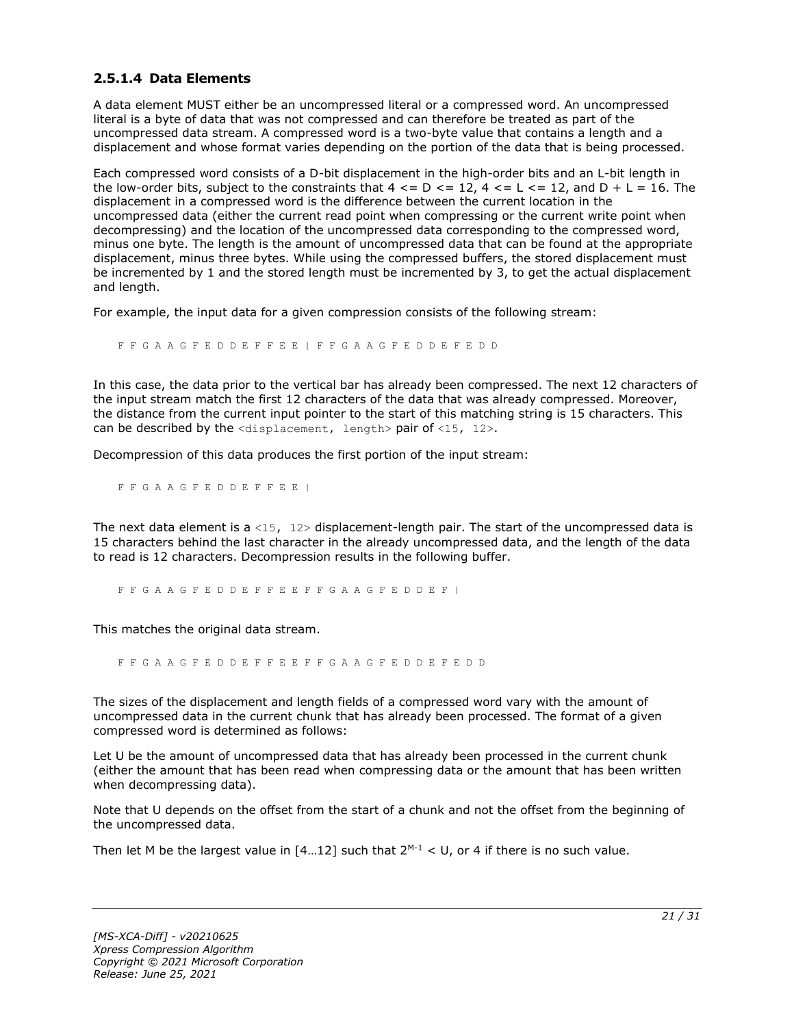#### <span id="page-20-0"></span>**2.5.1.4 Data Elements**

A data element MUST either be an uncompressed literal or a compressed word. An uncompressed literal is a byte of data that was not compressed and can therefore be treated as part of the uncompressed data stream. A compressed word is a two-byte value that contains a length and a displacement and whose format varies depending on the portion of the data that is being processed.

Each compressed word consists of a D-bit displacement in the high-order bits and an L-bit length in the low-order bits, subject to the constraints that  $4 \leq D \leq 12$ ,  $4 \leq L \leq 12$ , and  $D + L = 16$ . The displacement in a compressed word is the difference between the current location in the uncompressed data (either the current read point when compressing or the current write point when decompressing) and the location of the uncompressed data corresponding to the compressed word, minus one byte. The length is the amount of uncompressed data that can be found at the appropriate displacement, minus three bytes. While using the compressed buffers, the stored displacement must be incremented by 1 and the stored length must be incremented by 3, to get the actual displacement and length.

For example, the input data for a given compression consists of the following stream:

F F G A A G F E D D E F F E E | F F G A A G F E D D E F E D D

In this case, the data prior to the vertical bar has already been compressed. The next 12 characters of the input stream match the first 12 characters of the data that was already compressed. Moreover, the distance from the current input pointer to the start of this matching string is 15 characters. This can be described by the  $\langle$ displacement, length> pair of  $\langle$ 15, 12>.

Decompression of this data produces the first portion of the input stream:

F F G A A G F E D D E F F E E |

The next data element is a <15,  $12$ > displacement-length pair. The start of the uncompressed data is 15 characters behind the last character in the already uncompressed data, and the length of the data to read is 12 characters. Decompression results in the following buffer.

F F G A A G F E D D E F F E E F F G A A G F E D D E F |

This matches the original data stream.

F F G A A G F E D D E F F E E F F G A A G F E D D E F E D D

The sizes of the displacement and length fields of a compressed word vary with the amount of uncompressed data in the current chunk that has already been processed. The format of a given compressed word is determined as follows:

Let U be the amount of uncompressed data that has already been processed in the current chunk (either the amount that has been read when compressing data or the amount that has been written when decompressing data).

Note that U depends on the offset from the start of a chunk and not the offset from the beginning of the uncompressed data.

Then let M be the largest value in  $[4...12]$  such that  $2^{M-1} < U$ , or 4 if there is no such value.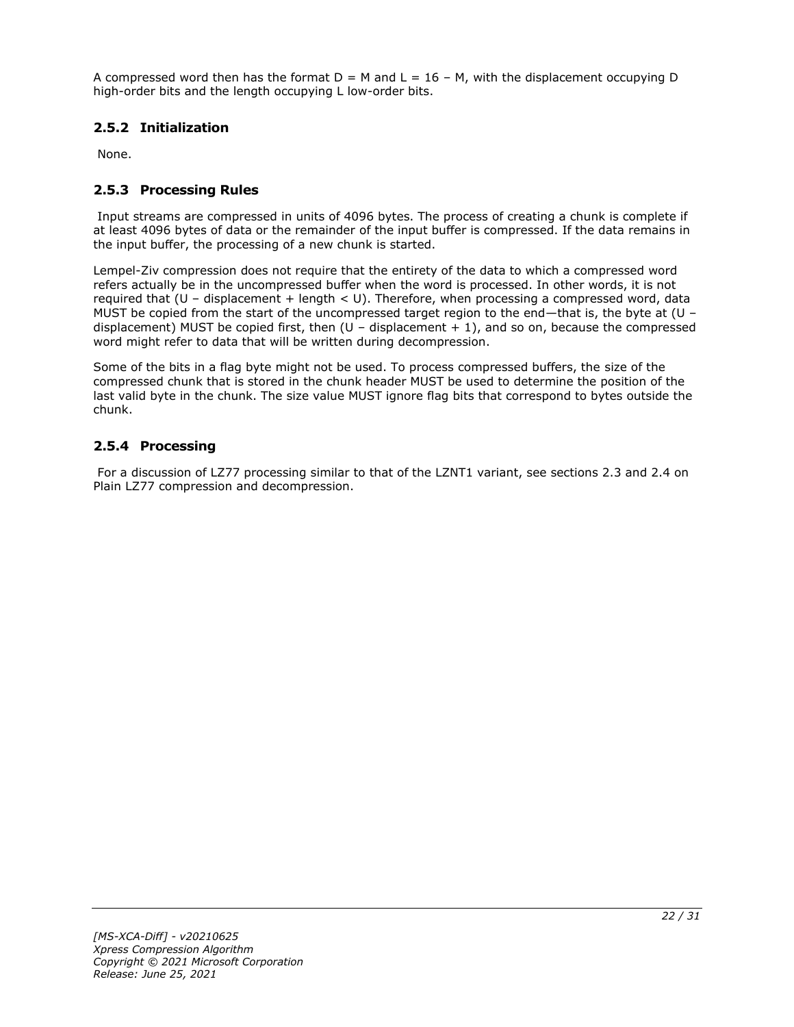A compressed word then has the format  $D = M$  and  $L = 16 - M$ , with the displacement occupying D high-order bits and the length occupying L low-order bits.

### <span id="page-21-0"></span>**2.5.2 Initialization**

None.

### <span id="page-21-1"></span>**2.5.3 Processing Rules**

Input streams are compressed in units of 4096 bytes. The process of creating a chunk is complete if at least 4096 bytes of data or the remainder of the input buffer is compressed. If the data remains in the input buffer, the processing of a new chunk is started.

Lempel-Ziv compression does not require that the entirety of the data to which a compressed word refers actually be in the uncompressed buffer when the word is processed. In other words, it is not required that (U – displacement + length < U). Therefore, when processing a compressed word, data MUST be copied from the start of the uncompressed target region to the end—that is, the byte at (U – displacement) MUST be copied first, then  $(U -$  displacement  $+ 1)$ , and so on, because the compressed word might refer to data that will be written during decompression.

Some of the bits in a flag byte might not be used. To process compressed buffers, the size of the compressed chunk that is stored in the chunk header MUST be used to determine the position of the last valid byte in the chunk. The size value MUST ignore flag bits that correspond to bytes outside the chunk.

### <span id="page-21-2"></span>**2.5.4 Processing**

For a discussion of LZ77 processing similar to that of the LZNT1 variant, see sections 2.3 and 2.4 on Plain LZ77 compression and decompression.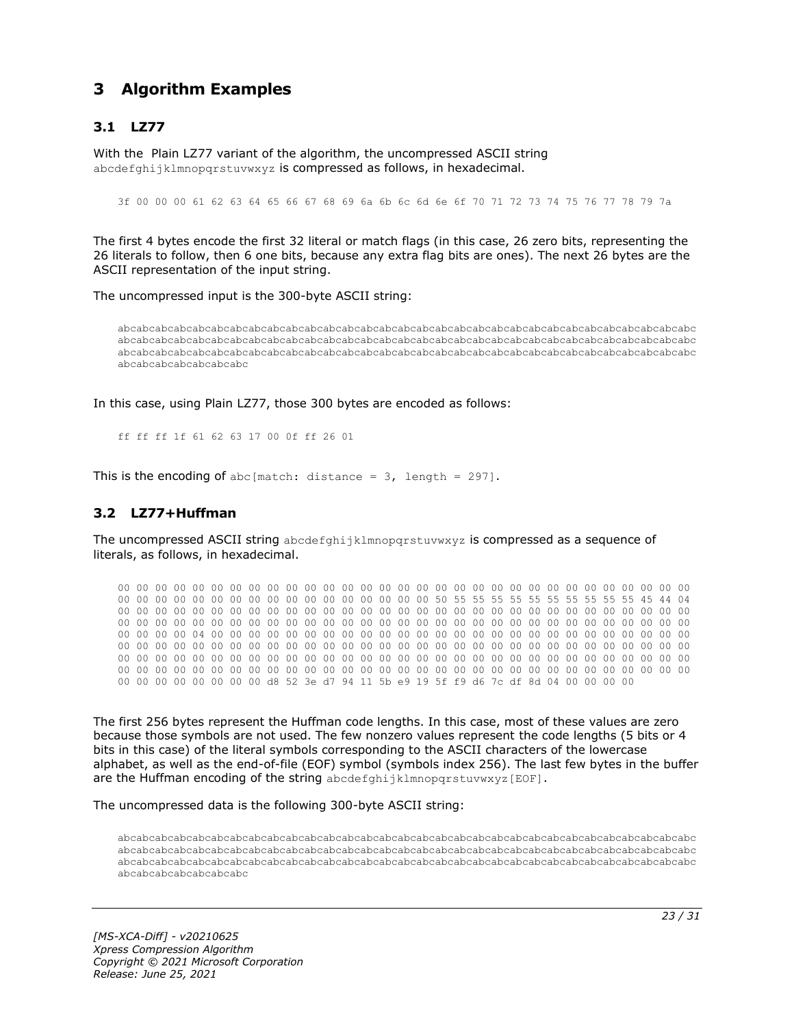## <span id="page-22-0"></span>**3 Algorithm Examples**

### <span id="page-22-1"></span>**3.1 LZ77**

With the Plain LZ77 variant of the algorithm, the uncompressed ASCII string abcdefghijklmnopgrstuvwxyz is compressed as follows, in hexadecimal.

3f 00 00 00 61 62 63 64 65 66 67 68 69 6a 6b 6c 6d 6e 6f 70 71 72 73 74 75 76 77 78 79 7a

The first 4 bytes encode the first 32 literal or match flags (in this case, 26 zero bits, representing the 26 literals to follow, then 6 one bits, because any extra flag bits are ones). The next 26 bytes are the ASCII representation of the input string.

The uncompressed input is the 300-byte ASCII string:

abcabcabcabcabcabcabcabcabcabcabcabcabcabcabcabcabcabcabcabcabcabcabcabcabcabcabcabcabcabcabc abcabcabcabcabcabcabcabcabcabcabcabcabcabcabcabcabcabcabcabcabcabcabcabcabcabcabcabcabcabcabc abcabcabcabcabcabcabcabcabcabcabcabcabcabcabcabcabcabcabcabcabcabcabcabcabcabcabcabcabcabcabc abcabcabcabcabcabcabc

In this case, using Plain LZ77, those 300 bytes are encoded as follows:

ff ff ff 1f 61 62 63 17 00 0f ff 26 01

This is the encoding of abc[match: distance =  $3$ , length = 297].

#### <span id="page-22-2"></span>**3.2 LZ77+Huffman**

The uncompressed ASCII string abcdefghijklmnopqrstuvwxyz is compressed as a sequence of literals, as follows, in hexadecimal.

00 00 00 00 00 00 00 00 00 00 00 00 00 00 00 00 00 00 00 00 00 00 00 00 00 00 00 00 00 00 00 00 00 00 00 00 00 00 00 00 00 00 00 00 00 00 00 00 50 55 55 55 55 55 55 55 55 55 55 45 44 04 00 00 00 00 00 00 00 00 00 00 00 00 00 00 00 00 00 00 00 00 00 00 00 00 00 00 00 00 00 00 00 00 00 00 00 00 00 00 00 00 00 00 00 00 00 00 00 00 00 00 00 00 00 00 00 00 00 00 00 00 00 00 00 00 00 00 04 00 00 00 00 00 00 00 00 00 00 00 00 00 00 00 00 00 00 00 00 00 00 00 00 00 00 00 00 00 00 00 00 00 00 00 00 00 00 00 00 00 00 00 00 00 00 00 00 00 00 00 00 00 00 00 00 00 00 00 00 00 00 00 00 00 00 00 00 00 00 00 00 00 00 00 00 00 00 00 00 00 00 00 00 00 00 00 00 00 00 00 00 00 00 00 00 00 00 00 00 00 00 00 00 00 00 00 00 00 00 00 00 00 00 00 00 00 00 00 00 00 00 00 00 00 00 00 d8 52 3e d7 94 11 5b e9 19 5f f9 d6 7c df 8d 04 00 00 00 00

The first 256 bytes represent the Huffman code lengths. In this case, most of these values are zero because those symbols are not used. The few nonzero values represent the code lengths (5 bits or 4 bits in this case) of the literal symbols corresponding to the ASCII characters of the lowercase alphabet, as well as the end-of-file (EOF) symbol (symbols index 256). The last few bytes in the buffer are the Huffman encoding of the string abcdefghijklmnopqrstuvwxyz[EOF].

The uncompressed data is the following 300-byte ASCII string:

abcabcabcabcabcabcabcabcabcabcabcabcabcabcabcabcabcabcabcabcabcabcabcabcabcabcabcabcabcabcabc abcabcabcabcabcabcabcabcabcabcabcabcabcabcabcabcabcabcabcabcabcabcabcabcabcabcabcabcabcabcabc abcabcabcabcabcabcabcabcabcabcabcabcabcabcabcabcabcabcabcabcabcabcabcabcabcabcabcabcabcabcabc abcabcabcabcabcabcabc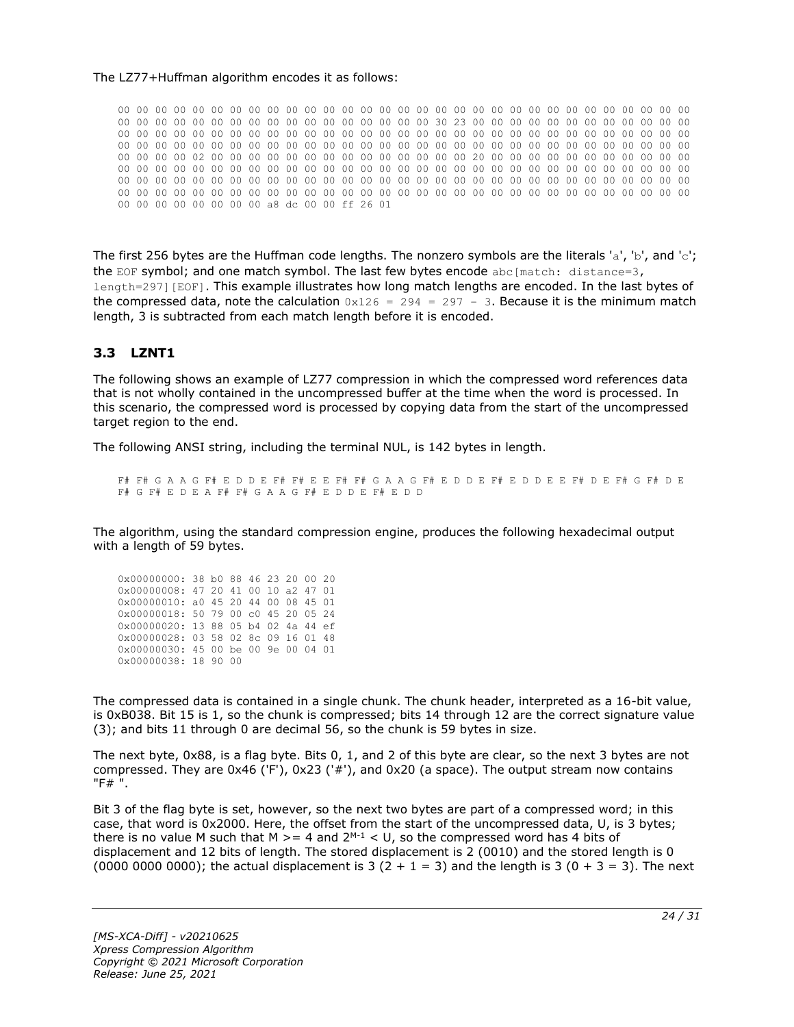#### The LZ77+Huffman algorithm encodes it as follows:

00 00 00 00 00 00 00 00 00 00 00 00 00 00 00 00 00 00 00 00 00 00 00 00 00 00 00 00 00 00 00 00 00 00 00 00 00 00 00 00 00 00 00 00 00 00 00 00 30 23 00 00 00 00 00 00 00 00 00 00 00 00 00 00 00 00 00 00 00 00 00 00 00 00 00 00 00 00 00 00 00 00 00 00 00 00 00 00 00 00 00 00 00 00 00 00 00 00 00 00 00 00 00 00 00 00 00 00 00 00 00 00 00 00 00 00 00 00 00 00 00 00 00 00 00 00 00 00 02 00 00 00 00 00 00 00 00 00 00 00 00 00 00 20 00 00 00 00 00 00 00 00 00 00 00 00 00 00 00 00 00 00 00 00 00 00 00 00 00 00 00 00 00 00 00 00 00 00 00 00 00 00 00 00 00 00 00 00 00 00 00 00 00 00 00 00 00 00 00 00 00 00 00 00 00 00 00 00 00 00 00 00 00 00 00 00 00 00 00 00 00 00 00 00 00 00 00 00 00 00 00 00 00 00 00 00 00 00 00 00 00 00 00 00 00 00 00 00 00 00 00 00 00 00 00 00 a8 dc 00 00 ff 26 01

The first 256 bytes are the Huffman code lengths. The nonzero symbols are the literals 'a', 'b', and 'c'; the EOF symbol; and one match symbol. The last few bytes encode  $abc[match: distance=3,$ length=297][EOF]. This example illustrates how long match lengths are encoded. In the last bytes of the compressed data, note the calculation  $0x126 = 294 = 297 - 3$ . Because it is the minimum match length, 3 is subtracted from each match length before it is encoded.

#### <span id="page-23-0"></span>**3.3 LZNT1**

The following shows an example of LZ77 compression in which the compressed word references data that is not wholly contained in the uncompressed buffer at the time when the word is processed. In this scenario, the compressed word is processed by copying data from the start of the uncompressed target region to the end.

The following ANSI string, including the terminal NUL, is 142 bytes in length.

F# F# G A A G F# E D D E F# F# E E F# F# G A A G F# E D D E F# E D D E E F# D E F# G F# D E F# G F# E D E A F# F# G A A G F# E D D E F# E D D

The algorithm, using the standard compression engine, produces the following hexadecimal output with a length of 59 bytes.

| 0x00000000: 38 b0 88 46 23 20 00 20 |  |  |  |  |
|-------------------------------------|--|--|--|--|
| 0x00000008: 47 20 41 00 10 a2 47 01 |  |  |  |  |
| 0x00000010: a0 45 20 44 00 08 45 01 |  |  |  |  |
| 0x00000018: 50 79 00 c0 45 20 05 24 |  |  |  |  |
|                                     |  |  |  |  |
| 0x00000020: 13 88 05 b4 02 4a 44 ef |  |  |  |  |
| 0x00000028: 03 58 02 8c 09 16 01 48 |  |  |  |  |
| 0x00000030: 45 00 be 00 9e 00 04 01 |  |  |  |  |

The compressed data is contained in a single chunk. The chunk header, interpreted as a 16-bit value, is 0xB038. Bit 15 is 1, so the chunk is compressed; bits 14 through 12 are the correct signature value (3); and bits 11 through 0 are decimal 56, so the chunk is 59 bytes in size.

The next byte, 0x88, is a flag byte. Bits 0, 1, and 2 of this byte are clear, so the next 3 bytes are not compressed. They are 0x46 ('F'), 0x23 ('#'), and 0x20 (a space). The output stream now contains "F# ".

Bit 3 of the flag byte is set, however, so the next two bytes are part of a compressed word; in this case, that word is 0x2000. Here, the offset from the start of the uncompressed data, U, is 3 bytes; there is no value M such that M  $>= 4$  and  $2^{M-1} < U$ , so the compressed word has 4 bits of displacement and 12 bits of length. The stored displacement is 2 (0010) and the stored length is 0 (0000 0000 0000); the actual displacement is 3 (2 + 1 = 3) and the length is 3 (0 + 3 = 3). The next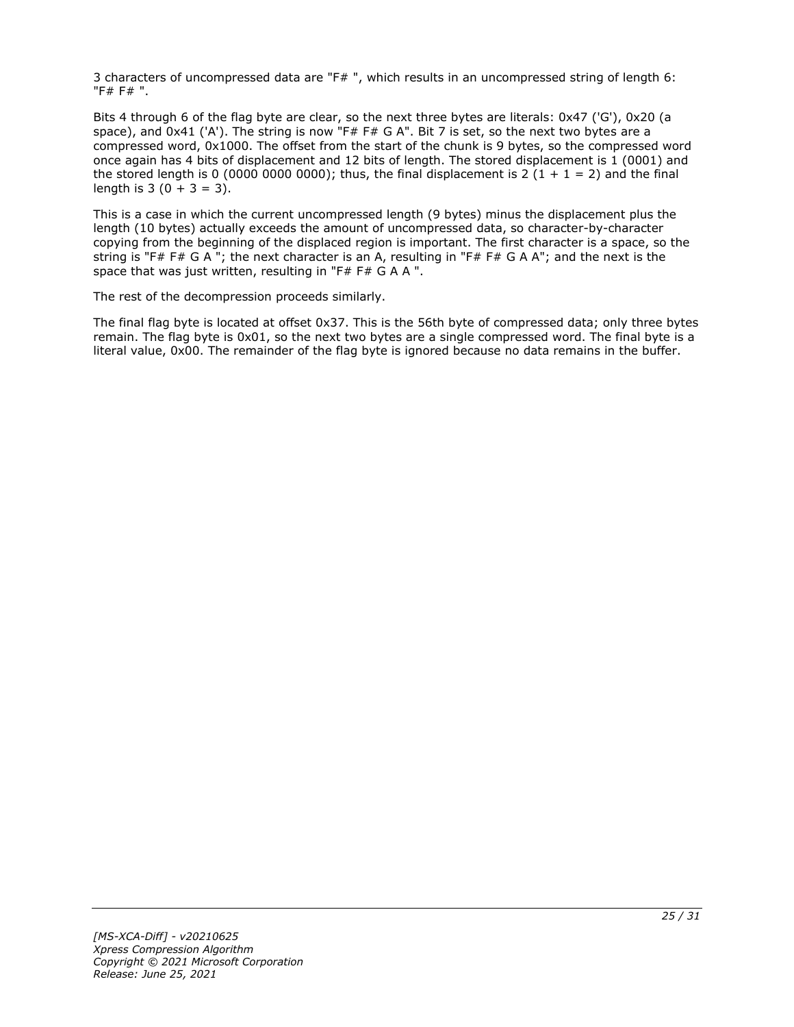3 characters of uncompressed data are "F# ", which results in an uncompressed string of length 6: "F# F# ".

Bits 4 through 6 of the flag byte are clear, so the next three bytes are literals: 0x47 ('G'), 0x20 (a space), and 0x41 ('A'). The string is now "F# F# G A". Bit 7 is set, so the next two bytes are a compressed word, 0x1000. The offset from the start of the chunk is 9 bytes, so the compressed word once again has 4 bits of displacement and 12 bits of length. The stored displacement is 1 (0001) and the stored length is 0 (0000 0000 0000); thus, the final displacement is 2 (1 + 1 = 2) and the final length is  $3(0 + 3 = 3)$ .

This is a case in which the current uncompressed length (9 bytes) minus the displacement plus the length (10 bytes) actually exceeds the amount of uncompressed data, so character-by-character copying from the beginning of the displaced region is important. The first character is a space, so the string is "F# F# G A "; the next character is an A, resulting in "F# F# G A A"; and the next is the space that was just written, resulting in "F# F# G A A ".

The rest of the decompression proceeds similarly.

The final flag byte is located at offset 0x37. This is the 56th byte of compressed data; only three bytes remain. The flag byte is 0x01, so the next two bytes are a single compressed word. The final byte is a literal value, 0x00. The remainder of the flag byte is ignored because no data remains in the buffer.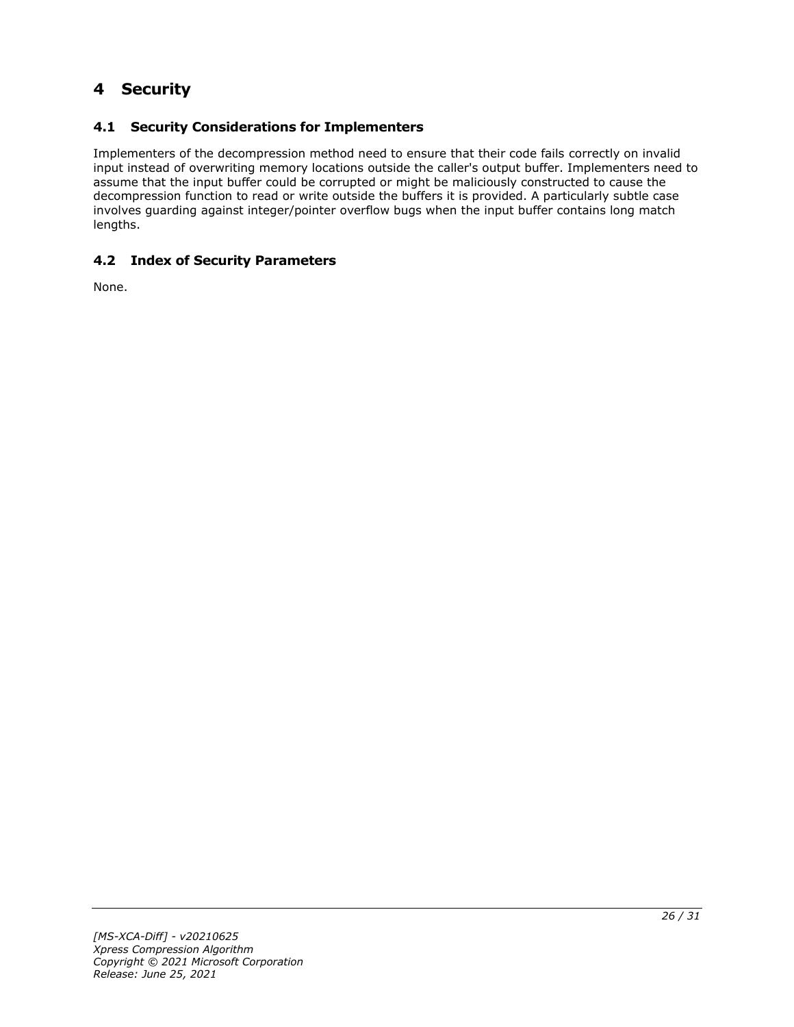## <span id="page-25-0"></span>**4 Security**

### <span id="page-25-1"></span>**4.1 Security Considerations for Implementers**

Implementers of the decompression method need to ensure that their code fails correctly on invalid input instead of overwriting memory locations outside the caller's output buffer. Implementers need to assume that the input buffer could be corrupted or might be maliciously constructed to cause the decompression function to read or write outside the buffers it is provided. A particularly subtle case involves guarding against integer/pointer overflow bugs when the input buffer contains long match lengths.

#### <span id="page-25-2"></span>**4.2 Index of Security Parameters**

None.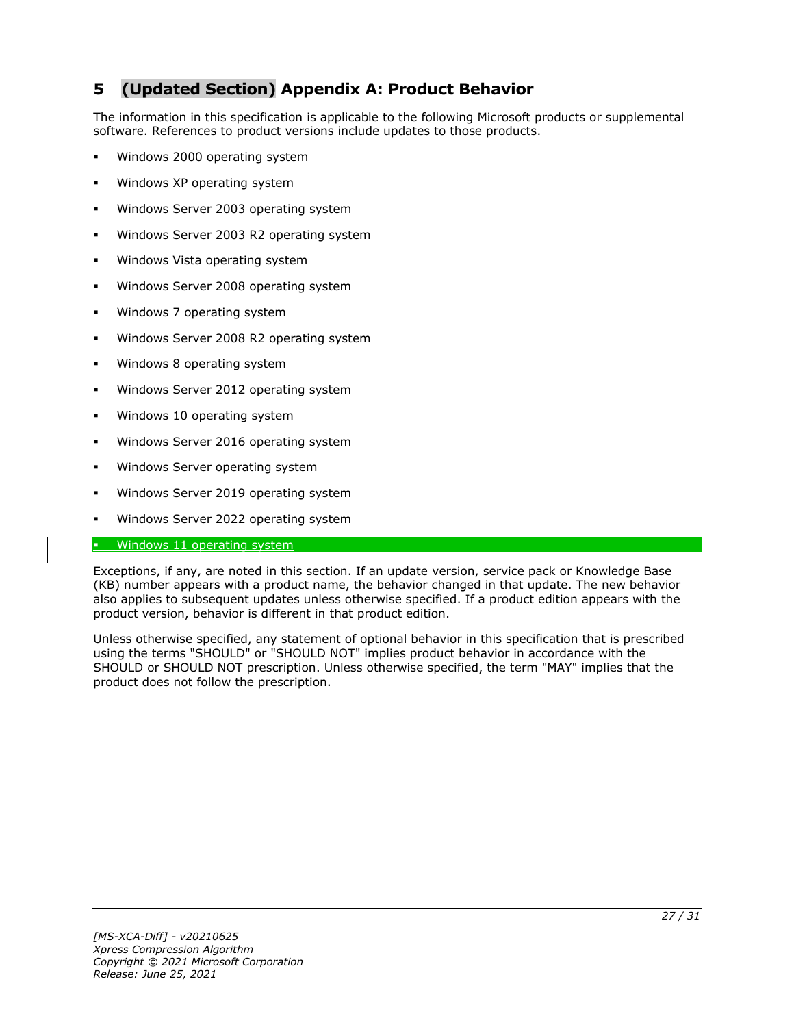## <span id="page-26-0"></span>**5 (Updated Section) Appendix A: Product Behavior**

The information in this specification is applicable to the following Microsoft products or supplemental software. References to product versions include updates to those products.

- Windows 2000 operating system
- Windows XP operating system
- Windows Server 2003 operating system
- Windows Server 2003 R2 operating system
- Windows Vista operating system
- Windows Server 2008 operating system
- Windows 7 operating system
- Windows Server 2008 R2 operating system
- Windows 8 operating system
- Windows Server 2012 operating system
- Windows 10 operating system
- Windows Server 2016 operating system
- Windows Server operating system
- Windows Server 2019 operating system
- Windows Server 2022 operating system

#### **•** Windows 11 operating system

Exceptions, if any, are noted in this section. If an update version, service pack or Knowledge Base (KB) number appears with a product name, the behavior changed in that update. The new behavior also applies to subsequent updates unless otherwise specified. If a product edition appears with the product version, behavior is different in that product edition.

Unless otherwise specified, any statement of optional behavior in this specification that is prescribed using the terms "SHOULD" or "SHOULD NOT" implies product behavior in accordance with the SHOULD or SHOULD NOT prescription. Unless otherwise specified, the term "MAY" implies that the product does not follow the prescription.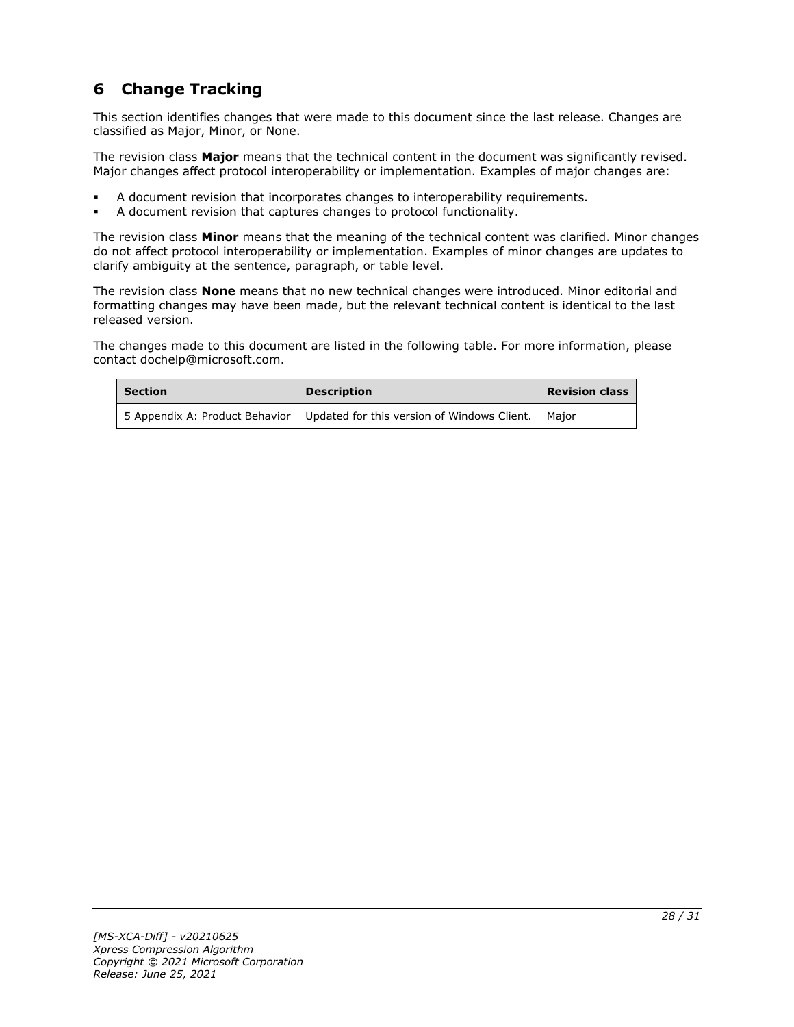## <span id="page-27-0"></span>**6 Change Tracking**

This section identifies changes that were made to this document since the last release. Changes are classified as Major, Minor, or None.

The revision class **Major** means that the technical content in the document was significantly revised. Major changes affect protocol interoperability or implementation. Examples of major changes are:

- A document revision that incorporates changes to interoperability requirements.
- A document revision that captures changes to protocol functionality.

The revision class **Minor** means that the meaning of the technical content was clarified. Minor changes do not affect protocol interoperability or implementation. Examples of minor changes are updates to clarify ambiguity at the sentence, paragraph, or table level.

The revision class **None** means that no new technical changes were introduced. Minor editorial and formatting changes may have been made, but the relevant technical content is identical to the last released version.

The changes made to this document are listed in the following table. For more information, please contact dochelp@microsoft.com.

| Section | <b>Description</b>                                                                   | <b>Revision class</b> |
|---------|--------------------------------------------------------------------------------------|-----------------------|
|         | 5 Appendix A: Product Behavior   Updated for this version of Windows Client.   Major |                       |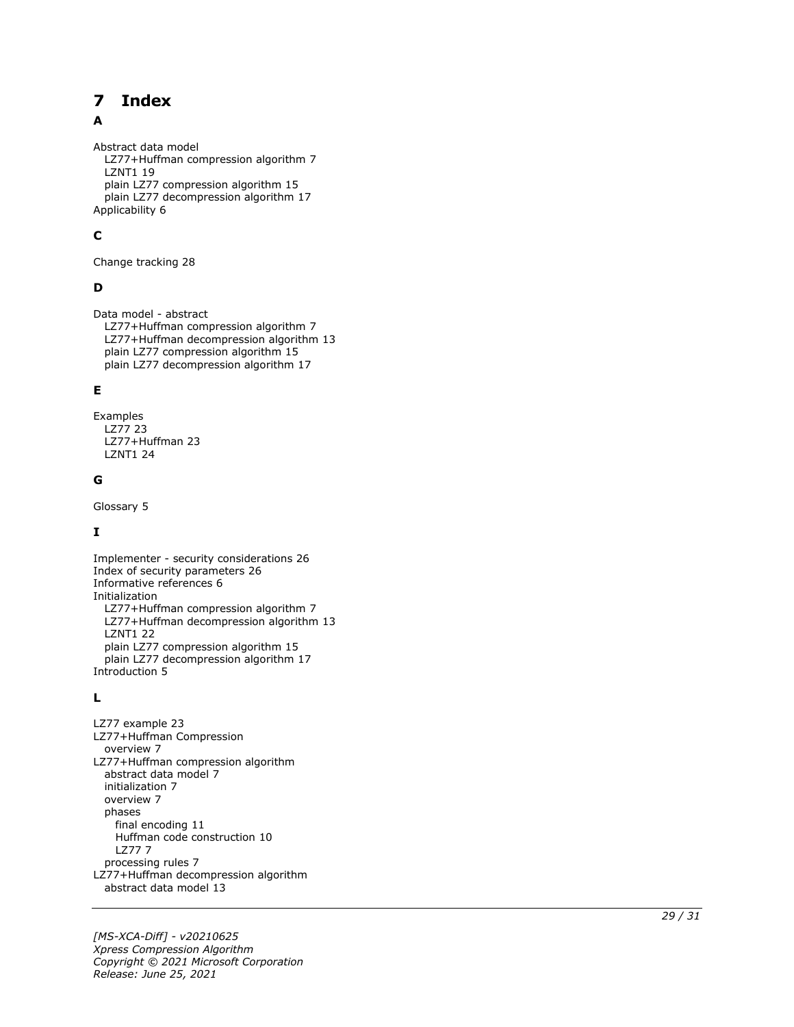#### <span id="page-28-0"></span>**Index**  $\overline{\mathbf{z}}$

#### A

Abstract data model LZ77+Huffman compression algorithm 7 LZNT1 19 plain LZ77 compression algorithm 15 plain LZ77 decompression algorithm 17 Applicability 6

### **C**

Change tracking 28

#### **D**

Data model - abstract LZ77+Huffman compression algorithm 7 LZ77+Huffman decompression algorithm 13 plain LZ77 compression algorithm 15 plain LZ77 decompression algorithm 17

#### **E**

Examples LZ77 23 LZ77+Huffman 23 LZNT1 24

#### **G**

Glossary 5

#### **I**

Implementer - security considerations 26 Index of security parameters 26 Informative references 6 Initialization LZ77+Huffman compression algorithm 7 LZ77+Huffman decompression algorithm 13 LZNT1 22 plain LZ77 compression algorithm 15 plain LZ77 decompression algorithm 17 Introduction 5

#### **L**

**7 Index**<br>
Abstract data model<br>
LZ77+Huffman comp<br>
LZ771119<br>
plain LZ77 compressis<br>
plain LZ77 decompress<br>
Applicability 6<br> **C**<br>
Change tracking 28<br> **D**<br>
Data model - abstract<br>
LZ77+Huffman comp<br>
plain LZ77 compressis<br>
p LZ77 example 23 LZ77+Huffman Compression overview 7 LZ77+Huffman compression algorithm abstract data model 7 initialization 7 overview 7 phases final encoding 11 Huffman code construction 10 LZ77 7 processing rules 7 LZ77+Huffman decompression algorithm abstract data model 13

*[MS -XCA -Diff] - v20210625 Xpress Compression Algorithm Copyright © 2021 Microsoft Corporation* Release: June 25, 2021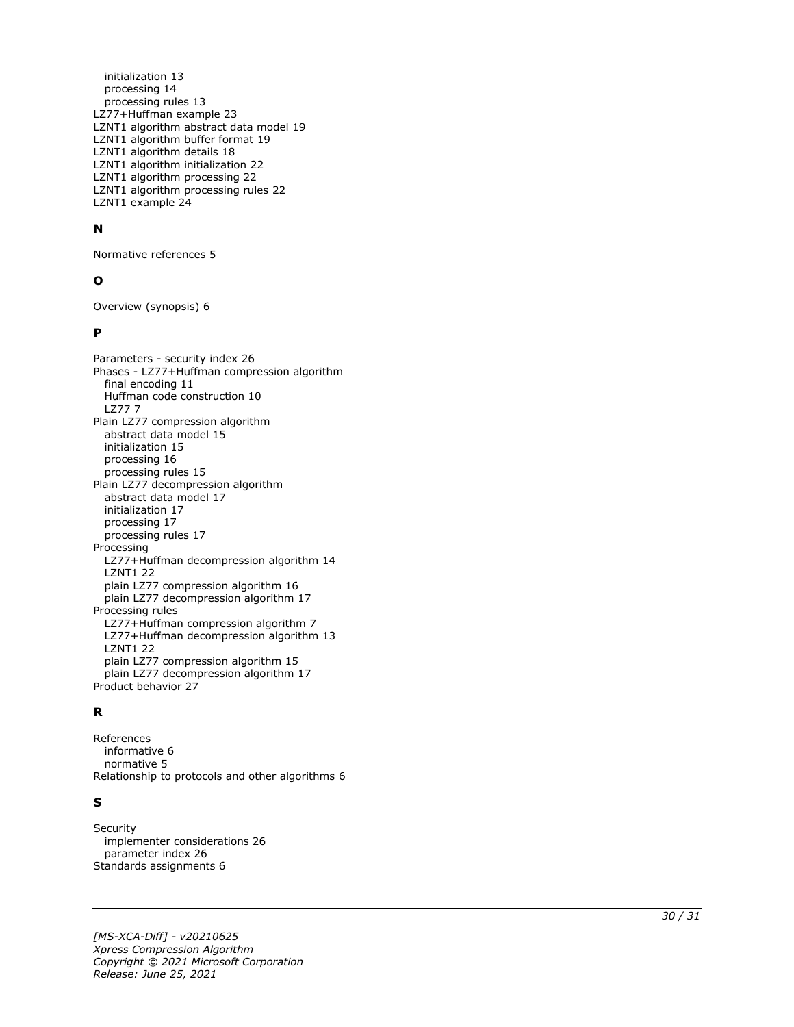initialization 13 processing 14 processing rules 13 LZ77+Huffman example 23 LZNT1 algorithm abstract data model 19 LZNT1 algorithm buffer format 19 LZNT1 algorithm details 18 LZNT1 algorithm initialization 22 LZNT1 algorithm processing 22 LZNT1 algorithm processing rules 22 LZNT1 example 24

#### **N**

Normative references 5

#### **O**

Overview (synopsis) 6

#### **P**

Parameters - security index 26 Phases - LZ77+Huffman compression algorithm final encoding 11 Huffman code construction 10 LZ77 7 Plain LZ77 compression algorithm abstract data model 15 initialization 15 processing 16 processing rules 15 Plain LZ77 decompression algorithm abstract data model 17 initialization 17 processing 17 processing rules 17 Processing LZ77+Huffman decompression algorithm 14 LZNT1 22 plain LZ77 compression algorithm 16 plain LZ77 decompression algorithm 17 Processing rules LZ77+Huffman compression algorithm 7 LZ77+Huffman decompression algorithm 13 LZNT1 22 plain LZ77 compression algorithm 15 plain LZ77 decompression algorithm 17 Product behavior 27

#### **R**

References informative 6 normative 5 Relationship to protocols and other algorithms 6

#### **S**

**Security**  implementer considerations 26 parameter index 26 Standards assignments 6

*[MS -XCA -Diff] - v20210625 Xpress Compression Algorithm Copyright © 2021 Microsoft Corporation Release: June 25, 2021*